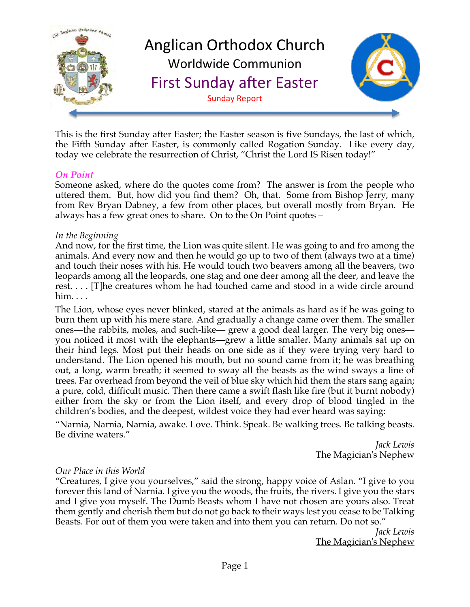

This is the first Sunday after Easter; the Easter season is five Sundays, the last of which, the Fifth Sunday after Easter, is commonly called Rogation Sunday. Like every day, today we celebrate the resurrection of Christ, "Christ the Lord IS Risen today!"

#### *On Point*

Someone asked, where do the quotes come from? The answer is from the people who uttered them. But, how did you find them? Oh, that. Some from Bishop Jerry, many from Rev Bryan Dabney, a few from other places, but overall mostly from Bryan. He always has a few great ones to share. On to the On Point quotes –

#### *In the Beginning*

And now, for the first time, the Lion was quite silent. He was going to and fro among the animals. And every now and then he would go up to two of them (always two at a time) and touch their noses with his. He would touch two beavers among all the beavers, two leopards among all the leopards, one stag and one deer among all the deer, and leave the rest. . . . [T]he creatures whom he had touched came and stood in a wide circle around him. . . .

The Lion, whose eyes never blinked, stared at the animals as hard as if he was going to burn them up with his mere stare. And gradually a change came over them. The smaller ones—the rabbits, moles, and such-like— grew a good deal larger. The very big ones you noticed it most with the elephants—grew a little smaller. Many animals sat up on their hind legs. Most put their heads on one side as if they were trying very hard to understand. The Lion opened his mouth, but no sound came from it; he was breathing out, a long, warm breath; it seemed to sway all the beasts as the wind sways a line of trees. Far overhead from beyond the veil of blue sky which hid them the stars sang again; a pure, cold, difficult music. Then there came a swift flash like fire (but it burnt nobody) either from the sky or from the Lion itself, and every drop of blood tingled in the children's bodies, and the deepest, wildest voice they had ever heard was saying:

"Narnia, Narnia, Narnia, awake. Love. Think. Speak. Be walking trees. Be talking beasts. Be divine waters."

> *Jack Lewis* The Magician's Nephew

#### *Our Place in this World*

"Creatures, I give you yourselves," said the strong, happy voice of Aslan. "I give to you forever this land of Narnia. I give you the woods, the fruits, the rivers. I give you the stars and I give you myself. The Dumb Beasts whom I have not chosen are yours also. Treat them gently and cherish them but do not go back to their ways lest you cease to be Talking Beasts. For out of them you were taken and into them you can return. Do not so."

*Jack Lewis* The Magician's Nephew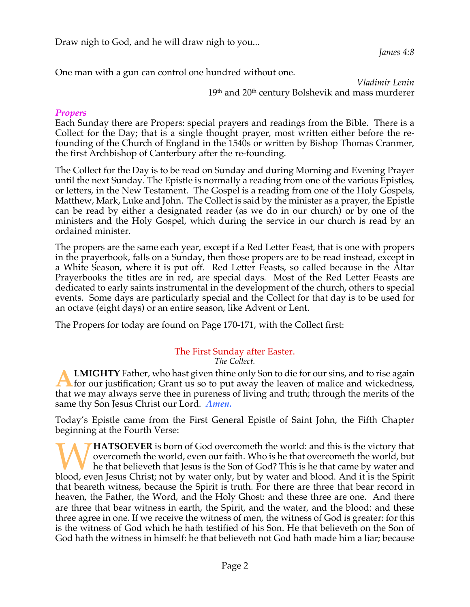Draw nigh to God, and he will draw nigh to you...

*James 4:8*

One man with a gun can control one hundred without one.

*Vladimir Lenin*  $19^{\rm th}$  and  $20^{\rm th}$  century Bolshevik and mass murderer

## *Propers*

Each Sunday there are Propers: special prayers and readings from the Bible. There is a Collect for the Day; that is a single thought prayer, most written either before the refounding of the Church of England in the 1540s or written by Bishop Thomas Cranmer, the first Archbishop of Canterbury after the re-founding.

The Collect for the Day is to be read on Sunday and during Morning and Evening Prayer until the next Sunday. The Epistle is normally a reading from one of the various Epistles, or letters, in the New Testament. The Gospel is a reading from one of the Holy Gospels, Matthew, Mark, Luke and John. The Collect is said by the minister as a prayer, the Epistle can be read by either a designated reader (as we do in our church) or by one of the ministers and the Holy Gospel, which during the service in our church is read by an ordained minister.

The propers are the same each year, except if a Red Letter Feast, that is one with propers in the prayerbook, falls on a Sunday, then those propers are to be read instead, except in a White Season, where it is put off. Red Letter Feasts, so called because in the Altar Prayerbooks the titles are in red, are special days. Most of the Red Letter Feasts are dedicated to early saints instrumental in the development of the church, others to special events. Some days are particularly special and the Collect for that day is to be used for an octave (eight days) or an entire season, like Advent or Lent.

The Propers for today are found on Page 170-171, with the Collect first:

#### The First Sunday after Easter. *The Collect.*

**LMIGHTY** Father, who hast given thine only Son to die for our sins, and to rise again **EMIGHTY** Father, who hast given thine only Son to die for our sins, and to rise again<br>for our justification; Grant us so to put away the leaven of malice and wickedness, that we may always serve thee in pureness of living and truth; through the merits of the same thy Son Jesus Christ our Lord. *Amen.*

Today's Epistle came from the First General Epistle of Saint John, the Fifth Chapter beginning at the Fourth Verse:

**HATSOEVER** is born of God overcometh the world: and this is the victory that overcometh the world, even our faith. Who is he that overcometh the world, but he that believeth that Jesus is the Son of God? This is he that came by water and **blood, even Jesus Christ;** not by water only, but by water and blood. And it is the Spirit blood, even Jesus Christ; not by water only, but by water and blood. And it is the Spirit in the Spirit and Blood. And it is the S that beareth witness, because the Spirit is truth. For there are three that bear record in heaven, the Father, the Word, and the Holy Ghost: and these three are one. And there are three that bear witness in earth, the Spirit, and the water, and the blood: and these three agree in one. If we receive the witness of men, the witness of God is greater: for this is the witness of God which he hath testified of his Son. He that believeth on the Son of God hath the witness in himself: he that believeth not God hath made him a liar; because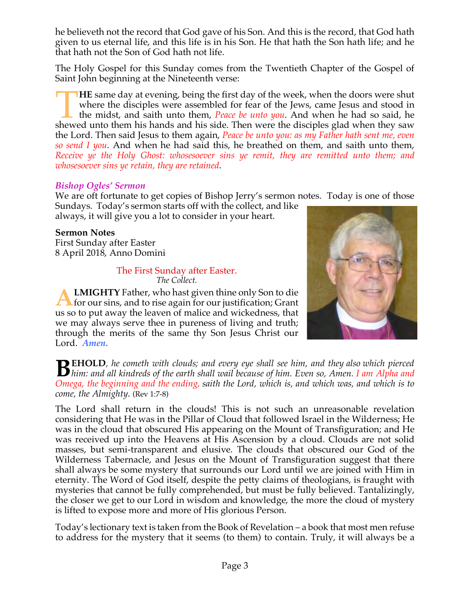he believeth not the record that God gave of his Son. And this is the record, that God hath given to us eternal life, and this life is in his Son. He that hath the Son hath life; and he that hath not the Son of God hath not life.

The Holy Gospel for this Sunday comes from the Twentieth Chapter of the Gospel of Saint John beginning at the Nineteenth verse:

**HE** same day at evening, being the first day of the week, when the doors were shut where the disciples were assembled for fear of the Jews, came Jesus and stood in the midst, and saith unto them, *Peace be unto you*. And when he had so said, he HE same day at evening, being the first day of the week, when the doors were shut where the disciples were assembled for fear of the Jews, came Jesus and stood in the midst, and saith unto them, *Peace be unto you*. And wh the Lord. Then said Jesus to them again, *Peace be unto you: as my Father hath sent me, even so send I you*. And when he had said this, he breathed on them, and saith unto them, *Receive ye the Holy Ghost: whosesoever sins ye remit, they are remitted unto them; and whosesoever sins ye retain, they are retained*.

## *Bishop Ogles' Sermon*

We are oft fortunate to get copies of Bishop Jerry's sermon notes. Today is one of those

Sundays. Today's sermon starts off with the collect, and like always, it will give you a lot to consider in your heart.

## **Sermon Notes**

First Sunday after Easter 8 April 2018, Anno Domini

#### The First Sunday after Easter. *The Collect.*

**LMIGHTY** Father, who hast given thine only Son to die **A LMIGHTY** Father, who hast given thine only Son to die<br>for our sins, and to rise again for our justification; Grant us so to put away the leaven of malice and wickedness, that we may always serve thee in pureness of living and truth; through the merits of the same thy Son Jesus Christ our Lord. *Amen.*



**EHOLD***, he cometh with clouds; and every eye shall see him, and they also which pierced*  **h h**im: and all kindreds of the earth shall wail because of him. Even so, Amen. *I am Alpha and* **Quess** the heaviline and *i*le with providence of him. Even so, Amen. *I am Alpha and* **Quess** the heaviline and the with *Omega, the beginning and the ending, saith the Lord, which is, and which was, and which is to come, the Almighty*. (Rev 1:7-8)

The Lord shall return in the clouds! This is not such an unreasonable revelation considering that He was in the Pillar of Cloud that followed Israel in the Wilderness; He was in the cloud that obscured His appearing on the Mount of Transfiguration; and He was received up into the Heavens at His Ascension by a cloud. Clouds are not solid masses, but semi-transparent and elusive. The clouds that obscured our God of the Wilderness Tabernacle, and Jesus on the Mount of Transfiguration suggest that there shall always be some mystery that surrounds our Lord until we are joined with Him in eternity. The Word of God itself, despite the petty claims of theologians, is fraught with mysteries that cannot be fully comprehended, but must be fully believed. Tantalizingly, the closer we get to our Lord in wisdom and knowledge, the more the cloud of mystery is lifted to expose more and more of His glorious Person.

Today's lectionary text is taken from the Book of Revelation – a book that most men refuse to address for the mystery that it seems (to them) to contain. Truly, it will always be a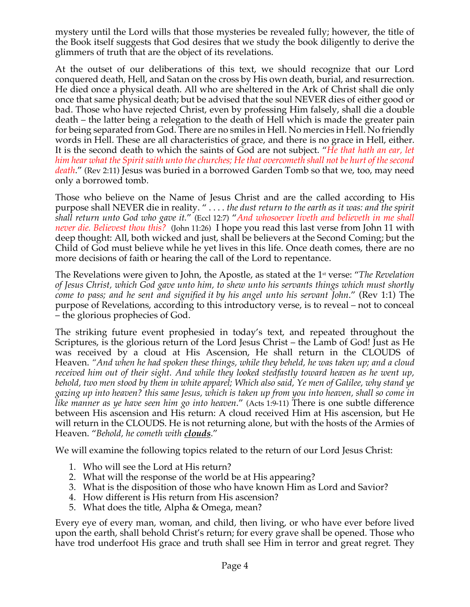mystery until the Lord wills that those mysteries be revealed fully; however, the title of the Book itself suggests that God desires that we study the book diligently to derive the glimmers of truth that are the object of its revelations.

At the outset of our deliberations of this text, we should recognize that our Lord conquered death, Hell, and Satan on the cross by His own death, burial, and resurrection. He died once a physical death. All who are sheltered in the Ark of Christ shall die only once that same physical death; but be advised that the soul NEVER dies of either good or bad. Those who have rejected Christ, even by professing Him falsely, shall die a double death – the latter being a relegation to the death of Hell which is made the greater pain for being separated from God. There are no smiles in Hell. No mercies in Hell. No friendly words in Hell. These are all characteristics of grace, and there is no grace in Hell, either. It is the second death to which the saints of God are not subject. "*He that hath an ear, let him hear what the Spirit saith unto the churches; He that overcometh shall not be hurt of the second death*." (Rev 2:11) Jesus was buried in a borrowed Garden Tomb so that we, too, may need only a borrowed tomb.

Those who believe on the Name of Jesus Christ and are the called according to His purpose shall NEVER die in reality. " . . . . *the dust return to the earth as it was: and the spirit shall return unto God who gave it.*" (Eccl 12:7) "*And whosoever liveth and believeth in me shall never die. Believest thou this?* (John 11:26) I hope you read this last verse from John 11 with deep thought: All, both wicked and just, shall be believers at the Second Coming; but the Child of God must believe while he yet lives in this life. Once death comes, there are no more decisions of faith or hearing the call of the Lord to repentance.

The Revelations were given to John, the Apostle, as stated at the 1st verse: "*The Revelation of Jesus Christ, which God gave unto him, to shew unto his servants things which must shortly come to pass; and he sent and signified it by his angel unto his servant John*." (Rev 1:1) The purpose of Revelations, according to this introductory verse, is to reveal – not to conceal – the glorious prophecies of God.

The striking future event prophesied in today's text, and repeated throughout the Scriptures, is the glorious return of the Lord Jesus Christ – the Lamb of God! Just as He was received by a cloud at His Ascension, He shall return in the CLOUDS of Heaven. *"And when he had spoken these things, while they beheld, he was taken up; and a cloud received him out of their sight. And while they looked stedfastly toward heaven as he went up, behold, two men stood by them in white apparel; Which also said, Ye men of Galilee, why stand ye gazing up into heaven? this same Jesus, which is taken up from you into heaven, shall so come in like manner as ye have seen him go into heaven*." (Acts 1:9-11) There is one subtle difference between His ascension and His return: A cloud received Him at His ascension, but He will return in the CLOUDS. He is not returning alone, but with the hosts of the Armies of Heaven. "*Behold, he cometh with clouds*."

We will examine the following topics related to the return of our Lord Jesus Christ:

- 1. Who will see the Lord at His return?
- 2. What will the response of the world be at His appearing?
- 3. What is the disposition of those who have known Him as Lord and Savior?
- 4. How different is His return from His ascension?
- 5. What does the title, Alpha & Omega, mean?

Every eye of every man, woman, and child, then living, or who have ever before lived upon the earth, shall behold Christ's return; for every grave shall be opened. Those who have trod underfoot His grace and truth shall see Him in terror and great regret. They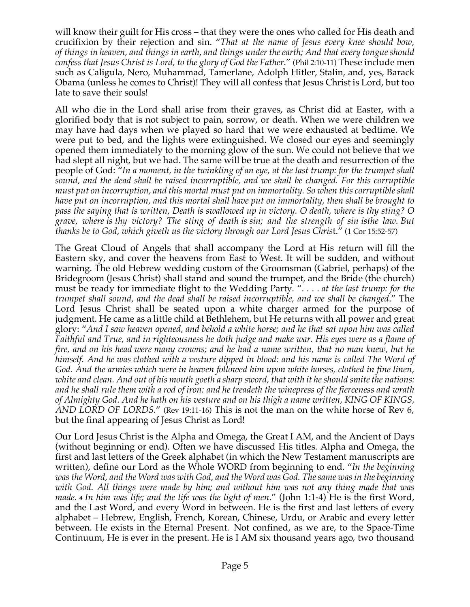will know their guilt for His cross – that they were the ones who called for His death and crucifixion by their rejection and sin. "*That at the name of Jesus every knee should bow, of things in heaven, and things in earth, and things under the earth; And that every tongue should confess that Jesus Christ is Lord, to the glory of God the Father*." (Phil 2:10-11) These include men such as Caligula, Nero, Muhammad, Tamerlane, Adolph Hitler, Stalin, and, yes, Barack Obama (unless he comes to Christ)! They will all confess that Jesus Christ is Lord, but too late to save their souls!

All who die in the Lord shall arise from their graves, as Christ did at Easter, with a glorified body that is not subject to pain, sorrow, or death. When we were children we may have had days when we played so hard that we were exhausted at bedtime. We were put to bed, and the lights were extinguished. We closed our eyes and seemingly opened them immediately to the morning glow of the sun. We could not believe that we had slept all night, but we had. The same will be true at the death and resurrection of the people of God: "*In a moment, in the twinkling of an eye, at the last trump: for the trumpet shall sound, and the dead shall be raised incorruptible, and we shall be changed. For this corruptible must put on incorruption, and this mortal must put on immortality. So when this corruptible shall have put on incorruption, and this mortal shall have put on immortality, then shall be brought to pass the saying that is written, Death is swallowed up in victory. O death, where is thy sting? O grave, where is thy victory? The sting of death is sin; and the strength of sin isthe law. But thanks be to God, which giveth us the victory through our Lord Jesus Chris*t." (1 Cor 15:52-57)

The Great Cloud of Angels that shall accompany the Lord at His return will fill the Eastern sky, and cover the heavens from East to West. It will be sudden, and without warning. The old Hebrew wedding custom of the Groomsman (Gabriel, perhaps) of the Bridegroom (Jesus Christ) shall stand and sound the trumpet, and the Bride (the church) must be ready for immediate flight to the Wedding Party. ". . . . *at the last trump: for the trumpet shall sound, and the dead shall be raised incorruptible, and we shall be changed*." The Lord Jesus Christ shall be seated upon a white charger armed for the purpose of judgment. He came as a little child at Bethlehem, but He returns with all power and great glory: "*And I saw heaven opened, and behold a white horse; and he that sat upon him was called Faithful and True, and in righteousness he doth judge and make war. His eyes were as a flame of fire, and on his head were many crowns; and he had a name written, that no man knew, but he himself. And he was clothed with a vesture dipped in blood: and his name is called The Word of God. And the armies which were in heaven followed him upon white horses, clothed in fine linen, white and clean. And out of his mouth goeth a sharp sword, that with it he should smite the nations: and he shall rule them with a rod of iron: and he treadeth the winepress of the fierceness and wrath of Almighty God. And he hath on his vesture and on his thigh a name written, KING OF KINGS, AND LORD OF LORDS*." (Rev 19:11-16) This is not the man on the white horse of Rev 6, but the final appearing of Jesus Christ as Lord!

Our Lord Jesus Christ is the Alpha and Omega, the Great I AM, and the Ancient of Days (without beginning or end). Often we have discussed His titles. Alpha and Omega, the first and last letters of the Greek alphabet (in which the New Testament manuscripts are written), define our Lord as the Whole WORD from beginning to end. "*In the beginning was the Word, and the Word was with God, and the Word was God. The same was in the beginning with God. All things were made by him; and without him was not any thing made that was made. <sup>4</sup> In him was life; and the life was the light of men*." (John 1:1-4) He is the first Word, and the Last Word, and every Word in between. He is the first and last letters of every alphabet – Hebrew, English, French, Korean, Chinese, Urdu, or Arabic and every letter between. He exists in the Eternal Present. Not confined, as we are, to the Space-Time Continuum, He is ever in the present. He is I AM six thousand years ago, two thousand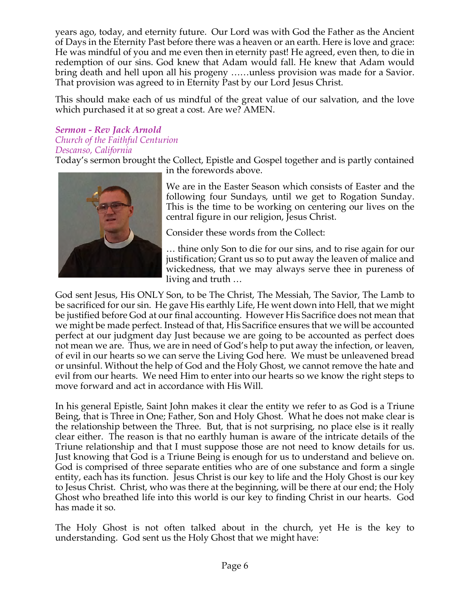years ago, today, and eternity future. Our Lord was with God the Father as the Ancient of Days in the Eternity Past before there was a heaven or an earth. Here is love and grace: He was mindful of you and me even then in eternity past! He agreed, even then, to die in redemption of our sins. God knew that Adam would fall. He knew that Adam would bring death and hell upon all his progeny ……unless provision was made for a Savior. That provision was agreed to in Eternity Past by our Lord Jesus Christ.

This should make each of us mindful of the great value of our salvation, and the love which purchased it at so great a cost. Are we? AMEN.

#### *Sermon - Rev Jack Arnold Church of the Faithful Centurion Descanso, California*

Today's sermon brought the Collect, Epistle and Gospel together and is partly contained in the forewords above.



We are in the Easter Season which consists of Easter and the following four Sundays, until we get to Rogation Sunday. This is the time to be working on centering our lives on the central figure in our religion, Jesus Christ.

Consider these words from the Collect:

… thine only Son to die for our sins, and to rise again for our justification; Grant us so to put away the leaven of malice and wickedness, that we may always serve thee in pureness of living and truth …

God sent Jesus, His ONLY Son, to be The Christ, The Messiah, The Savior, The Lamb to be sacrificed for our sin. He gave His earthly Life, He went down into Hell, that we might be justified before God at our final accounting. However His Sacrifice does not mean that we might be made perfect. Instead of that, His Sacrifice ensures that we will be accounted perfect at our judgment day Just because we are going to be accounted as perfect does not mean we are. Thus, we are in need of God's help to put away the infection, or leaven, of evil in our hearts so we can serve the Living God here. We must be unleavened bread or unsinful. Without the help of God and the Holy Ghost, we cannot remove the hate and evil from our hearts. We need Him to enter into our hearts so we know the right steps to move forward and act in accordance with His Will.

In his general Epistle, Saint John makes it clear the entity we refer to as God is a Triune Being, that is Three in One; Father, Son and Holy Ghost. What he does not make clear is the relationship between the Three. But, that is not surprising, no place else is it really clear either. The reason is that no earthly human is aware of the intricate details of the Triune relationship and that I must suppose those are not need to know details for us. Just knowing that God is a Triune Being is enough for us to understand and believe on. God is comprised of three separate entities who are of one substance and form a single entity, each has its function. Jesus Christ is our key to life and the Holy Ghost is our key to Jesus Christ. Christ, who was there at the beginning, will be there at our end; the Holy Ghost who breathed life into this world is our key to finding Christ in our hearts. God has made it so.

The Holy Ghost is not often talked about in the church, yet He is the key to understanding. God sent us the Holy Ghost that we might have: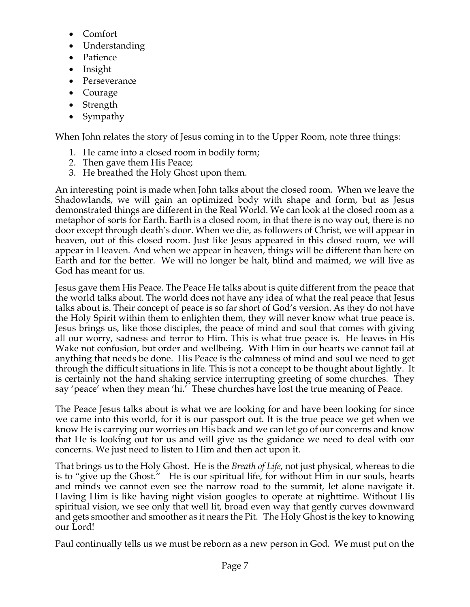- Comfort
- Understanding
- Patience
- Insight
- Perseverance
- Courage
- Strength
- Sympathy

When John relates the story of Jesus coming in to the Upper Room, note three things:

- 1. He came into a closed room in bodily form;
- 2. Then gave them His Peace;
- 3. He breathed the Holy Ghost upon them.

An interesting point is made when John talks about the closed room. When we leave the Shadowlands, we will gain an optimized body with shape and form, but as Jesus demonstrated things are different in the Real World. We can look at the closed room as a metaphor of sorts for Earth. Earth is a closed room, in that there is no way out, there is no door except through death's door. When we die, as followers of Christ, we will appear in heaven, out of this closed room. Just like Jesus appeared in this closed room, we will appear in Heaven. And when we appear in heaven, things will be different than here on Earth and for the better. We will no longer be halt, blind and maimed, we will live as God has meant for us.

Jesus gave them His Peace. The Peace He talks about is quite different from the peace that the world talks about. The world does not have any idea of what the real peace that Jesus talks about is. Their concept of peace is so far short of God's version. As they do not have the Holy Spirit within them to enlighten them, they will never know what true peace is. Jesus brings us, like those disciples, the peace of mind and soul that comes with giving all our worry, sadness and terror to Him. This is what true peace is. He leaves in His Wake not confusion, but order and wellbeing. With Him in our hearts we cannot fail at anything that needs be done. His Peace is the calmness of mind and soul we need to get through the difficult situations in life. This is not a concept to be thought about lightly. It is certainly not the hand shaking service interrupting greeting of some churches. They say 'peace' when they mean 'hi.' These churches have lost the true meaning of Peace.

The Peace Jesus talks about is what we are looking for and have been looking for since we came into this world, for it is our passport out. It is the true peace we get when we know He is carrying our worries on His back and we can let go of our concerns and know that He is looking out for us and will give us the guidance we need to deal with our concerns. We just need to listen to Him and then act upon it.

That brings us to the Holy Ghost. He is the *Breath of Life*, not just physical, whereas to die is to "give up the Ghost." He is our spiritual life, for without Him in our souls, hearts and minds we cannot even see the narrow road to the summit, let alone navigate it. Having Him is like having night vision googles to operate at nighttime. Without His spiritual vision, we see only that well lit, broad even way that gently curves downward and gets smoother and smoother as it nears the Pit. The Holy Ghost is the key to knowing our Lord!

Paul continually tells us we must be reborn as a new person in God. We must put on the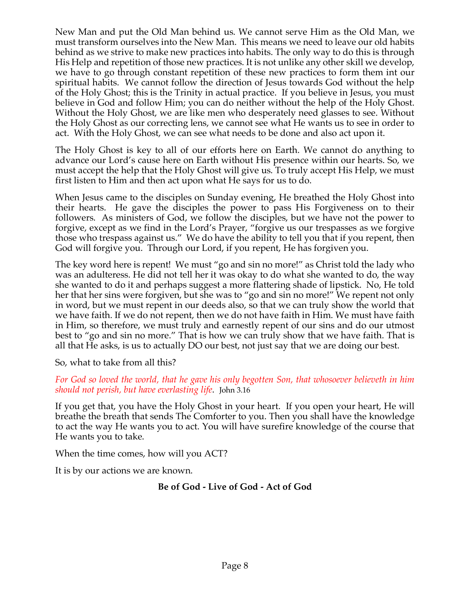New Man and put the Old Man behind us. We cannot serve Him as the Old Man, we must transform ourselves into the New Man. This means we need to leave our old habits behind as we strive to make new practices into habits. The only way to do this is through His Help and repetition of those new practices. It is not unlike any other skill we develop, we have to go through constant repetition of these new practices to form them int our spiritual habits. We cannot follow the direction of Jesus towards God without the help of the Holy Ghost; this is the Trinity in actual practice. If you believe in Jesus, you must believe in God and follow Him; you can do neither without the help of the Holy Ghost. Without the Holy Ghost, we are like men who desperately need glasses to see. Without the Holy Ghost as our correcting lens, we cannot see what He wants us to see in order to act. With the Holy Ghost, we can see what needs to be done and also act upon it.

The Holy Ghost is key to all of our efforts here on Earth. We cannot do anything to advance our Lord's cause here on Earth without His presence within our hearts. So, we must accept the help that the Holy Ghost will give us. To truly accept His Help, we must first listen to Him and then act upon what He says for us to do.

When Jesus came to the disciples on Sunday evening, He breathed the Holy Ghost into their hearts. He gave the disciples the power to pass His Forgiveness on to their followers. As ministers of God, we follow the disciples, but we have not the power to forgive, except as we find in the Lord's Prayer, "forgive us our trespasses as we forgive those who trespass against us." We do have the ability to tell you that if you repent, then God will forgive you. Through our Lord, if you repent, He has forgiven you.

The key word here is repent! We must "go and sin no more!" as Christ told the lady who was an adulteress. He did not tell her it was okay to do what she wanted to do, the way she wanted to do it and perhaps suggest a more flattering shade of lipstick. No, He told her that her sins were forgiven, but she was to "go and sin no more!" We repent not only in word, but we must repent in our deeds also, so that we can truly show the world that we have faith. If we do not repent, then we do not have faith in Him. We must have faith in Him, so therefore, we must truly and earnestly repent of our sins and do our utmost best to "go and sin no more." That is how we can truly show that we have faith. That is all that He asks, is us to actually DO our best, not just say that we are doing our best.

So, what to take from all this?

*For God so loved the world, that he gave his only begotten Son, that whosoever believeth in him should not perish, but have everlasting life*. John 3.16

If you get that, you have the Holy Ghost in your heart. If you open your heart, He will breathe the breath that sends The Comforter to you. Then you shall have the knowledge to act the way He wants you to act. You will have surefire knowledge of the course that He wants you to take.

When the time comes, how will you ACT?

It is by our actions we are known.

# **Be of God - Live of God - Act of God**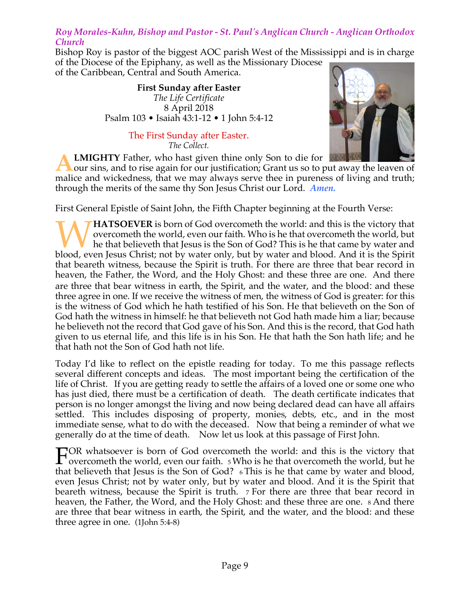## *Roy Morales-Kuhn, Bishop and Pastor - St. Paul's Anglican Church - Anglican Orthodox Church*

Bishop Roy is pastor of the biggest AOC parish West of the Mississippi and is in charge of the Diocese of the Epiphany, as well as the Missionary Diocese

of the Caribbean, Central and South America.

**First Sunday after Easter** *The Life Certificate* 8 April 2018 Psalm 103 • Isaiah 43:1-12 • 1 John 5:4-12

> The First Sunday after Easter. *The Collect.*

**LMIGHTY** Father, who hast given thine only Son to die for

our sins, and to rise again for our justification; Grant us so to put away the leaven of malice and wickedness, that we may always serve thee in pureness of living and truth; through the merits of the same thy Son Jesus Christ our Lord. *Amen.* **A**

First General Epistle of Saint John, the Fifth Chapter beginning at the Fourth Verse:

**HATSOEVER** is born of God overcometh the world: and this is the victory that overcometh the world, even our faith. Who is he that overcometh the world, but he that believeth that Jesus is the Son of God? This is he that came by water and **blood, even Jesus Christ**; not by water only, but by water and blood. And it is the Spirit blood, even Jesus Christ; not by water only, but by water and blood. And it is the Spirit in the Spirit and Blood. And it is the S that beareth witness, because the Spirit is truth. For there are three that bear record in heaven, the Father, the Word, and the Holy Ghost: and these three are one. And there are three that bear witness in earth, the Spirit, and the water, and the blood: and these three agree in one. If we receive the witness of men, the witness of God is greater: for this is the witness of God which he hath testified of his Son. He that believeth on the Son of God hath the witness in himself: he that believeth not God hath made him a liar; because he believeth not the record that God gave of his Son. And this is the record, that God hath given to us eternal life, and this life is in his Son. He that hath the Son hath life; and he that hath not the Son of God hath not life.

Today I'd like to reflect on the epistle reading for today. To me this passage reflects several different concepts and ideas. The most important being the certification of the life of Christ. If you are getting ready to settle the affairs of a loved one or some one who has just died, there must be a certification of death. The death certificate indicates that person is no longer amongst the living and now being declared dead can have all affairs settled. This includes disposing of property, monies, debts, etc., and in the most immediate sense, what to do with the deceased. Now that being a reminder of what we generally do at the time of death. Now let us look at this passage of First John.

OR whatsoever is born of God overcometh the world: and this is the victory that  $\Gamma$ OR whatsoever is born of God overcometh the world: and this is the victory that overcometh the world, but he world, but he that overcometh the world, but he that he is the form of God? This is he that some he was to g that believeth that Jesus is the Son of God? 6 This is he that came by water and blood, even Jesus Christ; not by water only, but by water and blood. And it is the Spirit that beareth witness, because the Spirit is truth. 7 For there are three that bear record in heaven, the Father, the Word, and the Holy Ghost: and these three are one. 8 And there are three that bear witness in earth, the Spirit, and the water, and the blood: and these three agree in one. (1John 5:4-8)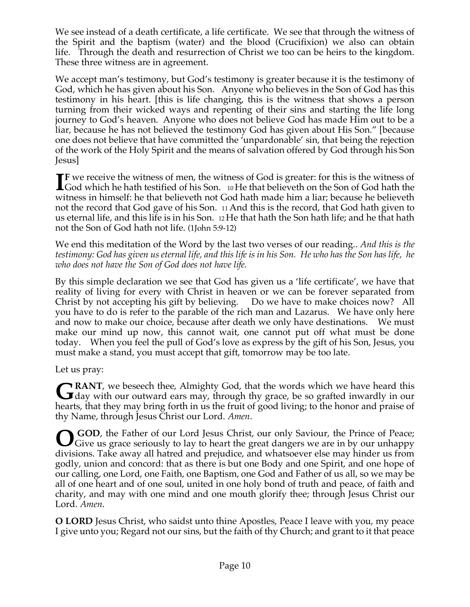We see instead of a death certificate, a life certificate. We see that through the witness of the Spirit and the baptism (water) and the blood (Crucifixion) we also can obtain life. Through the death and resurrection of Christ we too can be heirs to the kingdom. These three witness are in agreement.

We accept man's testimony, but God's testimony is greater because it is the testimony of God, which he has given about his Son. Anyone who believes in the Son of God has this testimony in his heart. [this is life changing, this is the witness that shows a person turning from their wicked ways and repenting of their sins and starting the life long journey to God's heaven. Anyone who does not believe God has made Him out to be a liar, because he has not believed the testimony God has given about His Son." [because one does not believe that have committed the 'unpardonable' sin, that being the rejection of the work of the Holy Spirit and the means of salvation offered by God through his Son Jesus]

**F** we receive the witness of men, the witness of God is greater: for this is the witness of **IF** we receive the witness of men, the witness of God is greater: for this is the witness of God which he hath testified of his Son. 10 He that believeth on the Son of God hath the principle problem is believed. witness in himself: he that believeth not God hath made him a liar; because he believeth not the record that God gave of his Son. 11 And this is the record, that God hath given to us eternal life, and this life is in his Son. 12 He that hath the Son hath life; and he that hath not the Son of God hath not life. (1John 5:9-12)

We end this meditation of the Word by the last two verses of our reading.. *And this is the testimony: God has given us eternal life, and this life is in his Son. He who has the Son has life, he who does not have the Son of God does not have life.*

By this simple declaration we see that God has given us a 'life certificate', we have that reality of living for every with Christ in heaven or we can be forever separated from Christ by not accepting his gift by believing. Do we have to make choices now? All you have to do is refer to the parable of the rich man and Lazarus. We have only here and now to make our choice, because after death we only have destinations. We must make our mind up now, this cannot wait, one cannot put off what must be done today. When you feel the pull of God's love as express by the gift of his Son, Jesus, you must make a stand, you must accept that gift, tomorrow may be too late.

Let us pray:

**RANT**, we beseech thee, Almighty God, that the words which we have heard this GRANT, we beseech thee, Almighty God, that the words which we have heard this day with our outward ears may, through thy grace, be so grafted inwardly in our hearts, that they may bring forth in us the fruit of good living; to the honor and praise of thy Name, through Jesus Christ our Lord. *Amen*.

GOD, the Father of our Lord Jesus Christ, our only Saviour, the Prince of Peace;<br>Give us grace seriously to lay to heart the great dangers we are in by our unhappy Give us grace seriously to lay to heart the great dangers we are in by our unhappy divisions. Take away all hatred and prejudice, and whatsoever else may hinder us from godly, union and concord: that as there is but one Body and one Spirit, and one hope of our calling, one Lord, one Faith, one Baptism, one God and Father of us all, so we may be all of one heart and of one soul, united in one holy bond of truth and peace, of faith and charity, and may with one mind and one mouth glorify thee; through Jesus Christ our Lord. *Amen*.

**O LORD** Jesus Christ, who saidst unto thine Apostles, Peace I leave with you, my peace I give unto you; Regard not our sins, but the faith of thy Church; and grant to it that peace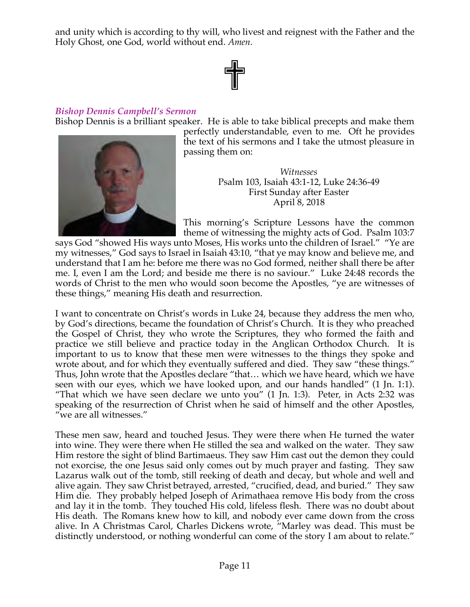and unity which is according to thy will, who livest and reignest with the Father and the Holy Ghost, one God, world without end. *Amen*.

# ✟

#### *Bishop Dennis Campbell's Sermon*

Bishop Dennis is a brilliant speaker. He is able to take biblical precepts and make them



perfectly understandable, even to me. Oft he provides the text of his sermons and I take the utmost pleasure in passing them on:

> *Witnesses* Psalm 103, Isaiah 43:1-12, Luke 24:36-49 First Sunday after Easter April 8, 2018

This morning's Scripture Lessons have the common theme of witnessing the mighty acts of God. Psalm 103:7

says God "showed His ways unto Moses, His works unto the children of Israel." "Ye are my witnesses," God says to Israel in Isaiah 43:10, "that ye may know and believe me, and understand that I am he: before me there was no God formed, neither shall there be after me. I, even I am the Lord; and beside me there is no saviour." Luke 24:48 records the words of Christ to the men who would soon become the Apostles, "ye are witnesses of these things," meaning His death and resurrection.

I want to concentrate on Christ's words in Luke 24, because they address the men who, by God's directions, became the foundation of Christ's Church. It is they who preached the Gospel of Christ, they who wrote the Scriptures, they who formed the faith and practice we still believe and practice today in the Anglican Orthodox Church. It is important to us to know that these men were witnesses to the things they spoke and wrote about, and for which they eventually suffered and died. They saw "these things." Thus, John wrote that the Apostles declare "that… which we have heard, which we have seen with our eyes, which we have looked upon, and our hands handled" (1 Jn. 1:1). "That which we have seen declare we unto you" (1 Jn. 1:3). Peter, in Acts 2:32 was speaking of the resurrection of Christ when he said of himself and the other Apostles, "we are all witnesses."

These men saw, heard and touched Jesus. They were there when He turned the water into wine. They were there when He stilled the sea and walked on the water. They saw Him restore the sight of blind Bartimaeus. They saw Him cast out the demon they could not exorcise, the one Jesus said only comes out by much prayer and fasting. They saw Lazarus walk out of the tomb, still reeking of death and decay, but whole and well and alive again. They saw Christ betrayed, arrested, "crucified, dead, and buried." They saw Him die. They probably helped Joseph of Arimathaea remove His body from the cross and lay it in the tomb. They touched His cold, lifeless flesh. There was no doubt about His death. The Romans knew how to kill, and nobody ever came down from the cross alive. In A Christmas Carol, Charles Dickens wrote, "Marley was dead. This must be distinctly understood, or nothing wonderful can come of the story I am about to relate."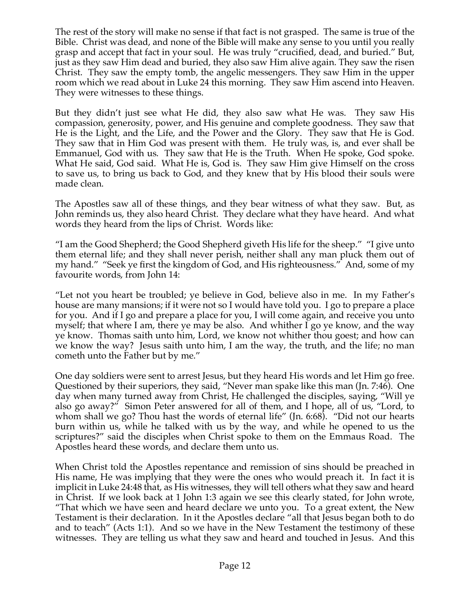The rest of the story will make no sense if that fact is not grasped. The same is true of the Bible. Christ was dead, and none of the Bible will make any sense to you until you really grasp and accept that fact in your soul. He was truly "crucified, dead, and buried." But, just as they saw Him dead and buried, they also saw Him alive again. They saw the risen Christ. They saw the empty tomb, the angelic messengers. They saw Him in the upper room which we read about in Luke 24 this morning. They saw Him ascend into Heaven. They were witnesses to these things.

But they didn't just see what He did, they also saw what He was. They saw His compassion, generosity, power, and His genuine and complete goodness. They saw that He is the Light, and the Life, and the Power and the Glory. They saw that He is God. They saw that in Him God was present with them. He truly was, is, and ever shall be Emmanuel, God with us. They saw that He is the Truth. When He spoke, God spoke. What He said, God said. What He is, God is. They saw Him give Himself on the cross to save us, to bring us back to God, and they knew that by His blood their souls were made clean.

The Apostles saw all of these things, and they bear witness of what they saw. But, as John reminds us, they also heard Christ. They declare what they have heard. And what words they heard from the lips of Christ. Words like:

"I am the Good Shepherd; the Good Shepherd giveth His life for the sheep." "I give unto them eternal life; and they shall never perish, neither shall any man pluck them out of my hand." "Seek ye first the kingdom of God, and His righteousness." And, some of my favourite words, from John 14:

"Let not you heart be troubled; ye believe in God, believe also in me. In my Father's house are many mansions; if it were not so I would have told you. I go to prepare a place for you. And if I go and prepare a place for you, I will come again, and receive you unto myself; that where I am, there ye may be also. And whither I go ye know, and the way ye know. Thomas saith unto him, Lord, we know not whither thou goest; and how can we know the way? Jesus saith unto him, I am the way, the truth, and the life; no man cometh unto the Father but by me."

One day soldiers were sent to arrest Jesus, but they heard His words and let Him go free. Questioned by their superiors, they said, "Never man spake like this man (Jn. 7:46). One day when many turned away from Christ, He challenged the disciples, saying, "Will ye also go away?" Simon Peter answered for all of them, and I hope, all of us, "Lord, to whom shall we go? Thou hast the words of eternal life" (Jn. 6:68). "Did not our hearts burn within us, while he talked with us by the way, and while he opened to us the scriptures?" said the disciples when Christ spoke to them on the Emmaus Road. The Apostles heard these words, and declare them unto us.

When Christ told the Apostles repentance and remission of sins should be preached in His name, He was implying that they were the ones who would preach it. In fact it is implicit in Luke 24:48 that, as His witnesses, they will tell others what they saw and heard in Christ. If we look back at 1 John 1:3 again we see this clearly stated, for John wrote, "That which we have seen and heard declare we unto you. To a great extent, the New Testament is their declaration. In it the Apostles declare "all that Jesus began both to do and to teach" (Acts 1:1). And so we have in the New Testament the testimony of these witnesses. They are telling us what they saw and heard and touched in Jesus. And this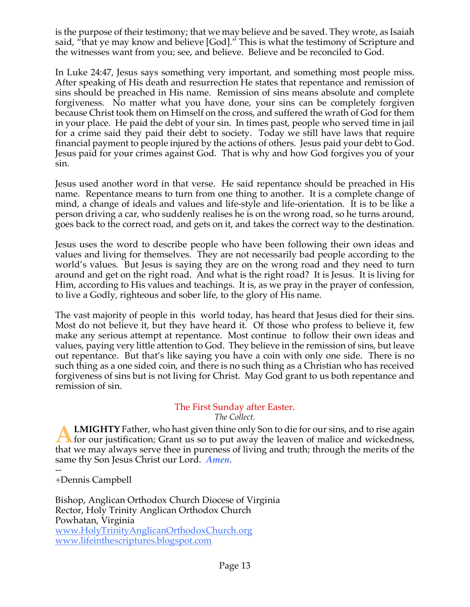is the purpose of their testimony; that we may believe and be saved. They wrote, as Isaiah said, "that ye may know and believe [God]." This is what the testimony of Scripture and the witnesses want from you; see, and believe. Believe and be reconciled to God.

In Luke 24:47, Jesus says something very important, and something most people miss. After speaking of His death and resurrection He states that repentance and remission of sins should be preached in His name. Remission of sins means absolute and complete forgiveness. No matter what you have done, your sins can be completely forgiven because Christ took them on Himself on the cross, and suffered the wrath of God for them in your place. He paid the debt of your sin. In times past, people who served time in jail for a crime said they paid their debt to society. Today we still have laws that require financial payment to people injured by the actions of others. Jesus paid your debt to God. Jesus paid for your crimes against God. That is why and how God forgives you of your sin.

Jesus used another word in that verse. He said repentance should be preached in His name. Repentance means to turn from one thing to another. It is a complete change of mind, a change of ideals and values and life-style and life-orientation. It is to be like a person driving a car, who suddenly realises he is on the wrong road, so he turns around, goes back to the correct road, and gets on it, and takes the correct way to the destination.

Jesus uses the word to describe people who have been following their own ideas and values and living for themselves. They are not necessarily bad people according to the world's values. But Jesus is saying they are on the wrong road and they need to turn around and get on the right road. And what is the right road? It is Jesus. It is living for Him, according to His values and teachings. It is, as we pray in the prayer of confession, to live a Godly, righteous and sober life, to the glory of His name.

The vast majority of people in this world today, has heard that Jesus died for their sins. Most do not believe it, but they have heard it. Of those who profess to believe it, few make any serious attempt at repentance. Most continue to follow their own ideas and values, paying very little attention to God. They believe in the remission of sins, but leave out repentance. But that's like saying you have a coin with only one side. There is no such thing as a one sided coin, and there is no such thing as a Christian who has received forgiveness of sins but is not living for Christ. May God grant to us both repentance and remission of sin.

#### The First Sunday after Easter. *The Collect.*

**LMIGHTY** Father, who hast given thine only Son to die for our sins, and to rise again **EMIGHTY** Father, who hast given thine only Son to die for our sins, and to rise again<br>for our justification; Grant us so to put away the leaven of malice and wickedness, that we may always serve thee in pureness of living and truth; through the merits of the same thy Son Jesus Christ our Lord. *Amen.*

-- +Dennis Campbell

Bishop, Anglican Orthodox Church Diocese of Virginia Rector, Holy Trinity Anglican Orthodox Church Powhatan, Virginia www.HolyTrinityAnglicanOrthodoxChurch.org www.lifeinthescriptures.blogspot.com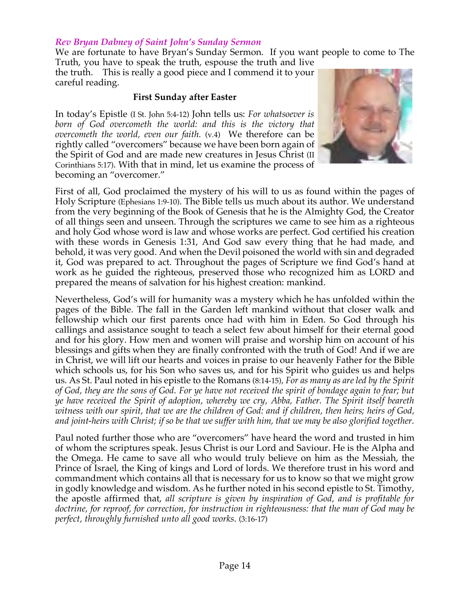#### *Rev Bryan Dabney of Saint John's Sunday Sermon*

We are fortunate to have Bryan's Sunday Sermon. If you want people to come to The Truth, you have to speak the truth, espouse the truth and live

the truth. This is really a good piece and I commend it to your careful reading.

#### **First Sunday after Easter**

In today's Epistle (I St. John 5:4-12) John tells us: *For whatsoever is born of God overcometh the world: and this is the victory that overcometh the world, even our faith.* (v.4) We therefore can be rightly called "overcomers" because we have been born again of the Spirit of God and are made new creatures in Jesus Christ (II Corinthians 5:17). With that in mind, let us examine the process of becoming an "overcomer."



First of all, God proclaimed the mystery of his will to us as found within the pages of Holy Scripture (Ephesians 1:9-10). The Bible tells us much about its author. We understand from the very beginning of the Book of Genesis that he is the Almighty God, the Creator of all things seen and unseen. Through the scriptures we came to see him as a righteous and holy God whose word is law and whose works are perfect. God certified his creation with these words in Genesis 1:31, And God saw every thing that he had made, and behold, it was very good. And when the Devil poisoned the world with sin and degraded it, God was prepared to act. Throughout the pages of Scripture we find God's hand at work as he guided the righteous, preserved those who recognized him as LORD and prepared the means of salvation for his highest creation: mankind.

Nevertheless, God's will for humanity was a mystery which he has unfolded within the pages of the Bible. The fall in the Garden left mankind without that closer walk and fellowship which our first parents once had with him in Eden. So God through his callings and assistance sought to teach a select few about himself for their eternal good and for his glory. How men and women will praise and worship him on account of his blessings and gifts when they are finally confronted with the truth of God! And if we are in Christ, we will lift our hearts and voices in praise to our heavenly Father for the Bible which schools us, for his Son who saves us, and for his Spirit who guides us and helps us. As St. Paul noted in his epistle to the Romans (8:14-15)*, For as many as are led by the Spirit of God, they are the sons of God. For ye have not received the spirit of bondage again to fear; but ye have received the Spirit of adoption, whereby we cry, Abba, Father. The Spirit itself beareth witness with our spirit, that we are the children of God: and if children, then heirs; heirs of God, and joint-heirs with Christ; if so be that we suffer with him, that we may be also glorified together.*

Paul noted further those who are "overcomers" have heard the word and trusted in him of whom the scriptures speak. Jesus Christ is our Lord and Saviour. He is the Alpha and the Omega. He came to save all who would truly believe on him as the Messiah, the Prince of Israel, the King of kings and Lord of lords. We therefore trust in his word and commandment which contains all that is necessary for us to know so that we might grow in godly knowledge and wisdom. As he further noted in his second epistle to St. Timothy, the apostle affirmed that, *all scripture is given by inspiration of God, and is profitable for doctrine, for reproof, for correction, for instruction in righteousness: that the man of God may be perfect, throughly furnished unto all good works*. (3:16-17)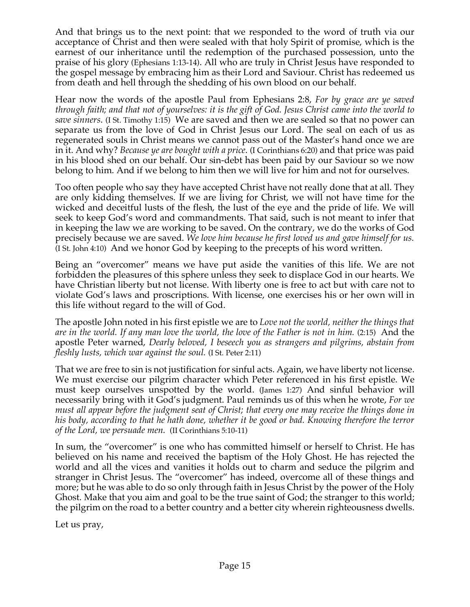And that brings us to the next point: that we responded to the word of truth via our acceptance of Christ and then were sealed with that holy Spirit of promise, which is the earnest of our inheritance until the redemption of the purchased possession, unto the praise of his glory (Ephesians 1:13-14). All who are truly in Christ Jesus have responded to the gospel message by embracing him as their Lord and Saviour. Christ has redeemed us from death and hell through the shedding of his own blood on our behalf.

Hear now the words of the apostle Paul from Ephesians 2:8, *For by grace are ye saved through faith; and that not of yourselves: it is the gift of God. Jesus Christ came into the world to save sinners*. (I St. Timothy 1:15) We are saved and then we are sealed so that no power can separate us from the love of God in Christ Jesus our Lord. The seal on each of us as regenerated souls in Christ means we cannot pass out of the Master's hand once we are in it. And why? *Because ye are bought with a price*. (I Corinthians 6:20) and that price was paid in his blood shed on our behalf. Our sin-debt has been paid by our Saviour so we now belong to him. And if we belong to him then we will live for him and not for ourselves.

Too often people who say they have accepted Christ have not really done that at all. They are only kidding themselves. If we are living for Christ, we will not have time for the wicked and deceitful lusts of the flesh, the lust of the eye and the pride of life. We will seek to keep God's word and commandments. That said, such is not meant to infer that in keeping the law we are working to be saved. On the contrary, we do the works of God precisely because we are saved. *We love him because he first loved us and gave himself for us.* (I St. John 4:10) And we honor God by keeping to the precepts of his word written.

Being an "overcomer" means we have put aside the vanities of this life. We are not forbidden the pleasures of this sphere unless they seek to displace God in our hearts. We have Christian liberty but not license. With liberty one is free to act but with care not to violate God's laws and proscriptions. With license, one exercises his or her own will in this life without regard to the will of God.

The apostle John noted in his first epistle we are to *Love not the world, neither the things that are in the world. If any man love the world, the love of the Father is not in him.* (2:15) And the apostle Peter warned, *Dearly beloved, I beseech you as strangers and pilgrims, abstain from fleshly lusts, which war against the soul.* (I St. Peter 2:11)

That we are free to sin is not justification for sinful acts. Again, we have liberty not license. We must exercise our pilgrim character which Peter referenced in his first epistle. We must keep ourselves unspotted by the world. (James 1:27) And sinful behavior will necessarily bring with it God's judgment. Paul reminds us of this when he wrote, *For we must all appear before the judgment seat of Christ; that every one may receive the things done in his body, according to that he hath done, whether it be good or bad. Knowing therefore the terror of the Lord, we persuade men.* (II Corinthians 5:10-11)

In sum, the "overcomer" is one who has committed himself or herself to Christ. He has believed on his name and received the baptism of the Holy Ghost. He has rejected the world and all the vices and vanities it holds out to charm and seduce the pilgrim and stranger in Christ Jesus. The "overcomer" has indeed, overcome all of these things and more; but he was able to do so only through faith in Jesus Christ by the power of the Holy Ghost. Make that you aim and goal to be the true saint of God; the stranger to this world; the pilgrim on the road to a better country and a better city wherein righteousness dwells.

Let us pray,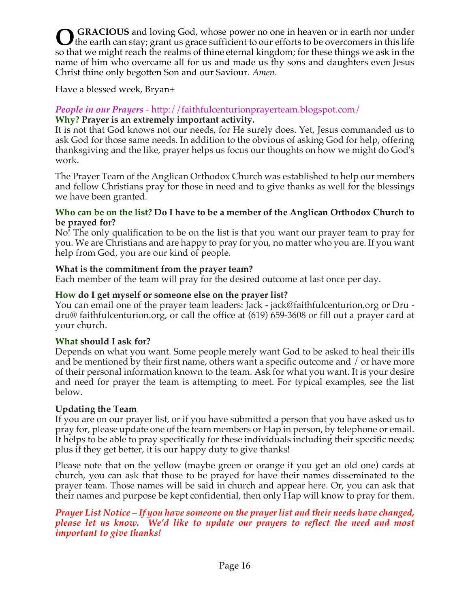**GRACIOUS** and loving God, whose power no one in heaven or in earth nor under O GRACIOUS and loving God, whose power no one in heaven or in earth nor under the earth can stay; grant us grace sufficient to our efforts to be overcomers in this life so that we might reach the realms of thine eternal kingdom; for these things we ask in the name of him who overcame all for us and made us thy sons and daughters even Jesus Christ thine only begotten Son and our Saviour. *Amen*.

Have a blessed week, Bryan+

#### *People in our Prayers* - http://faithfulcenturionprayerteam.blogspot.com/ **Why? Prayer is an extremely important activity.**

It is not that God knows not our needs, for He surely does. Yet, Jesus commanded us to ask God for those same needs. In addition to the obvious of asking God for help, offering thanksgiving and the like, prayer helps us focus our thoughts on how we might do God's work.

The Prayer Team of the Anglican Orthodox Church was established to help our members and fellow Christians pray for those in need and to give thanks as well for the blessings we have been granted.

#### **Who can be on the list? Do I have to be a member of the Anglican Orthodox Church to be prayed for?**

No! The only qualification to be on the list is that you want our prayer team to pray for you. We are Christians and are happy to pray for you, no matter who you are. If you want help from God, you are our kind of people.

## **What is the commitment from the prayer team?**

Each member of the team will pray for the desired outcome at last once per day.

#### **How do I get myself or someone else on the prayer list?**

You can email one of the prayer team leaders: Jack - jack@faithfulcenturion.org or Dru dru@ faithfulcenturion.org, or call the office at (619) 659-3608 or fill out a prayer card at your church.

## **What should I ask for?**

Depends on what you want. Some people merely want God to be asked to heal their ills and be mentioned by their first name, others want a specific outcome and / or have more of their personal information known to the team. Ask for what you want. It is your desire and need for prayer the team is attempting to meet. For typical examples, see the list below.

## **Updating the Team**

If you are on our prayer list, or if you have submitted a person that you have asked us to pray for, please update one of the team members or Hap in person, by telephone or email. It helps to be able to pray specifically for these individuals including their specific needs; plus if they get better, it is our happy duty to give thanks!

Please note that on the yellow (maybe green or orange if you get an old one) cards at church, you can ask that those to be prayed for have their names disseminated to the prayer team. Those names will be said in church and appear here. Or, you can ask that their names and purpose be kept confidential, then only Hap will know to pray for them.

#### *Prayer List Notice – If you have someone on the prayer list and their needs have changed, please let us know. We'd like to update our prayers to reflect the need and most important to give thanks!*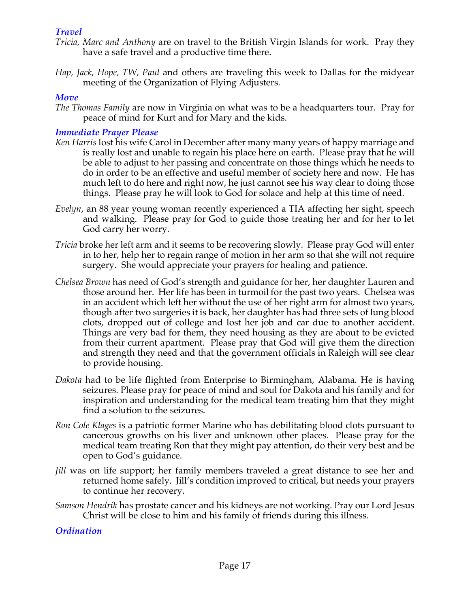## *Travel*

- *Tricia, Marc and Anthony* are on travel to the British Virgin Islands for work. Pray they have a safe travel and a productive time there.
- *Hap, Jack, Hope, TW, Paul* and others are traveling this week to Dallas for the midyear meeting of the Organization of Flying Adjusters.

## *Move*

*The Thomas Family* are now in Virginia on what was to be a headquarters tour. Pray for peace of mind for Kurt and for Mary and the kids.

## *Immediate Prayer Please*

- *Ken Harris* lost his wife Carol in December after many many years of happy marriage and is really lost and unable to regain his place here on earth. Please pray that he will be able to adjust to her passing and concentrate on those things which he needs to do in order to be an effective and useful member of society here and now. He has much left to do here and right now, he just cannot see his way clear to doing those things. Please pray he will look to God for solace and help at this time of need.
- *Evelyn*, an 88 year young woman recently experienced a TIA affecting her sight, speech and walking. Please pray for God to guide those treating her and for her to let God carry her worry.
- *Tricia* broke her left arm and it seems to be recovering slowly. Please pray God will enter in to her, help her to regain range of motion in her arm so that she will not require surgery. She would appreciate your prayers for healing and patience.
- *Chelsea Brown* has need of God's strength and guidance for her, her daughter Lauren and those around her. Her life has been in turmoil for the past two years. Chelsea was in an accident which left her without the use of her right arm for almost two years, though after two surgeries it is back, her daughter has had three sets of lung blood clots, dropped out of college and lost her job and car due to another accident. Things are very bad for them, they need housing as they are about to be evicted from their current apartment. Please pray that God will give them the direction and strength they need and that the government officials in Raleigh will see clear to provide housing.
- *Dakota* had to be life flighted from Enterprise to Birmingham, Alabama. He is having seizures. Please pray for peace of mind and soul for Dakota and his family and for inspiration and understanding for the medical team treating him that they might find a solution to the seizures.
- *Ron Cole Klages* is a patriotic former Marine who has debilitating blood clots pursuant to cancerous growths on his liver and unknown other places. Please pray for the medical team treating Ron that they might pay attention, do their very best and be open to God's guidance.
- *Jill* was on life support; her family members traveled a great distance to see her and returned home safely. Jill's condition improved to critical, but needs your prayers to continue her recovery.
- *Samson Hendrik* has prostate cancer and his kidneys are not working. Pray our Lord Jesus Christ will be close to him and his family of friends during this illness.

## *Ordination*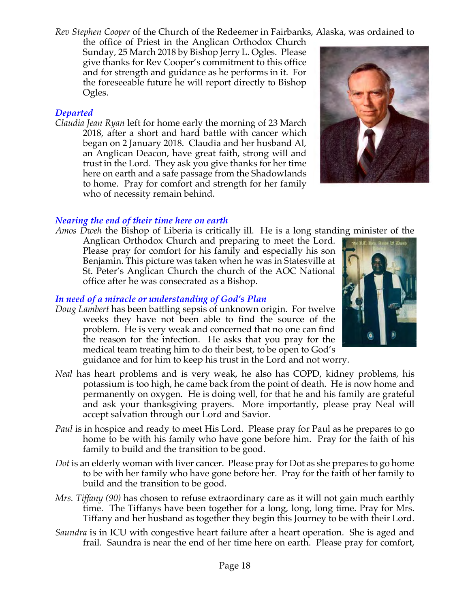*Rev Stephen Cooper* of the Church of the Redeemer in Fairbanks, Alaska, was ordained to

the office of Priest in the Anglican Orthodox Church Sunday, 25 March 2018 by Bishop Jerry L. Ogles. Please give thanks for Rev Cooper's commitment to this office and for strength and guidance as he performs in it. For the foreseeable future he will report directly to Bishop Ogles.

# *Departed*

*Claudia Jean Ryan* left for home early the morning of 23 March 2018, after a short and hard battle with cancer which began on 2 January 2018. Claudia and her husband Al, an Anglican Deacon, have great faith, strong will and trust in the Lord. They ask you give thanks for her time here on earth and a safe passage from the Shadowlands to home. Pray for comfort and strength for her family who of necessity remain behind.



## *Nearing the end of their time here on earth*

*Amos Dweh* the Bishop of Liberia is critically ill. He is a long standing minister of the Anglican Orthodox Church and preparing to meet the Lord. Please pray for comfort for his family and especially his son Benjamin. This picture was taken when he was in Statesville at St. Peter's Anglican Church the church of the AOC National office after he was consecrated as a Bishop.

## *In need of a miracle or understanding of God's Plan*

- *Doug Lambert* has been battling sepsis of unknown origin. For twelve weeks they have not been able to find the source of the problem. He is very weak and concerned that no one can find the reason for the infection. He asks that you pray for the medical team treating him to do their best, to be open to God's guidance and for him to keep his trust in the Lord and not worry.
- *Neal* has heart problems and is very weak, he also has COPD, kidney problems, his potassium is too high, he came back from the point of death. He is now home and permanently on oxygen. He is doing well, for that he and his family are grateful and ask your thanksgiving prayers. More importantly, please pray Neal will accept salvation through our Lord and Savior.
- *Paul* is in hospice and ready to meet His Lord. Please pray for Paul as he prepares to go home to be with his family who have gone before him. Pray for the faith of his family to build and the transition to be good.
- *Dot* is an elderly woman with liver cancer. Please pray for Dot as she prepares to go home to be with her family who have gone before her. Pray for the faith of her family to build and the transition to be good.
- *Mrs. Tiffany (90)* has chosen to refuse extraordinary care as it will not gain much earthly time. The Tiffanys have been together for a long, long, long time. Pray for Mrs. Tiffany and her husband as together they begin this Journey to be with their Lord.
- *Saundra* is in ICU with congestive heart failure after a heart operation. She is aged and frail. Saundra is near the end of her time here on earth. Please pray for comfort,

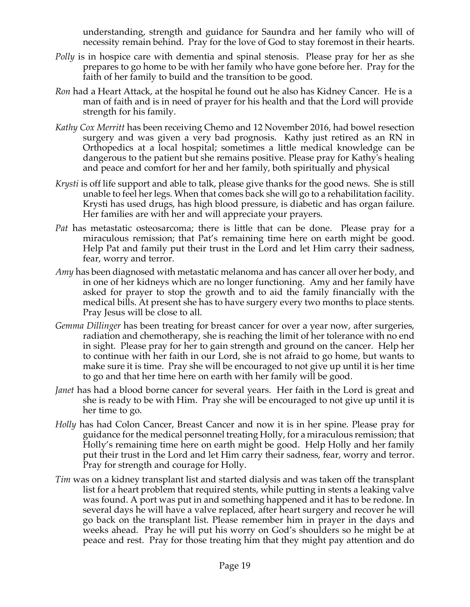understanding, strength and guidance for Saundra and her family who will of necessity remain behind. Pray for the love of God to stay foremost in their hearts.

- *Polly* is in hospice care with dementia and spinal stenosis. Please pray for her as she prepares to go home to be with her family who have gone before her. Pray for the faith of her family to build and the transition to be good.
- *Ron* had a Heart Attack, at the hospital he found out he also has Kidney Cancer. He is a man of faith and is in need of prayer for his health and that the Lord will provide strength for his family.
- *Kathy Cox Merritt* has been receiving Chemo and 12 November 2016, had bowel resection surgery and was given a very bad prognosis. Kathy just retired as an RN in Orthopedics at a local hospital; sometimes a little medical knowledge can be dangerous to the patient but she remains positive. Please pray for Kathy's healing and peace and comfort for her and her family, both spiritually and physical
- *Krysti* is off life support and able to talk, please give thanks for the good news. She is still unable to feel her legs. When that comes back she will go to a rehabilitation facility. Krysti has used drugs, has high blood pressure, is diabetic and has organ failure. Her families are with her and will appreciate your prayers.
- *Pat* has metastatic osteosarcoma; there is little that can be done. Please pray for a miraculous remission; that Pat's remaining time here on earth might be good. Help Pat and family put their trust in the Lord and let Him carry their sadness, fear, worry and terror.
- *Amy* has been diagnosed with metastatic melanoma and has cancer all over her body, and in one of her kidneys which are no longer functioning. Amy and her family have asked for prayer to stop the growth and to aid the family financially with the medical bills. At present she has to have surgery every two months to place stents. Pray Jesus will be close to all.
- *Gemma Dillinger* has been treating for breast cancer for over a year now, after surgeries, radiation and chemotherapy, she is reaching the limit of her tolerance with no end in sight. Please pray for her to gain strength and ground on the cancer. Help her to continue with her faith in our Lord, she is not afraid to go home, but wants to make sure it is time. Pray she will be encouraged to not give up until it is her time to go and that her time here on earth with her family will be good.
- Janet has had a blood borne cancer for several years. Her faith in the Lord is great and she is ready to be with Him. Pray she will be encouraged to not give up until it is her time to go.
- *Holly* has had Colon Cancer, Breast Cancer and now it is in her spine. Please pray for guidance for the medical personnel treating Holly, for a miraculous remission; that Holly's remaining time here on earth might be good. Help Holly and her family put their trust in the Lord and let Him carry their sadness, fear, worry and terror. Pray for strength and courage for Holly.
- *Tim* was on a kidney transplant list and started dialysis and was taken off the transplant list for a heart problem that required stents, while putting in stents a leaking valve was found. A port was put in and something happened and it has to be redone. In several days he will have a valve replaced, after heart surgery and recover he will go back on the transplant list. Please remember him in prayer in the days and weeks ahead. Pray he will put his worry on God's shoulders so he might be at peace and rest. Pray for those treating him that they might pay attention and do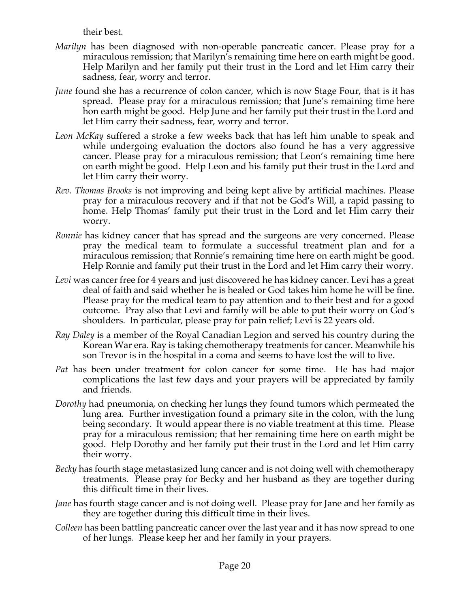their best.

- *Marilyn* has been diagnosed with non-operable pancreatic cancer. Please pray for a miraculous remission; that Marilyn's remaining time here on earth might be good. Help Marilyn and her family put their trust in the Lord and let Him carry their sadness, fear, worry and terror.
- *June* found she has a recurrence of colon cancer, which is now Stage Four, that is it has spread. Please pray for a miraculous remission; that June's remaining time here hon earth might be good. Help June and her family put their trust in the Lord and let Him carry their sadness, fear, worry and terror.
- *Leon McKay* suffered a stroke a few weeks back that has left him unable to speak and while undergoing evaluation the doctors also found he has a very aggressive cancer. Please pray for a miraculous remission; that Leon's remaining time here on earth might be good. Help Leon and his family put their trust in the Lord and let Him carry their worry.
- *Rev. Thomas Brooks* is not improving and being kept alive by artificial machines. Please pray for a miraculous recovery and if that not be God's Will, a rapid passing to home. Help Thomas' family put their trust in the Lord and let Him carry their worry.
- *Ronnie* has kidney cancer that has spread and the surgeons are very concerned. Please pray the medical team to formulate a successful treatment plan and for a miraculous remission; that Ronnie's remaining time here on earth might be good. Help Ronnie and family put their trust in the Lord and let Him carry their worry.
- *Levi* was cancer free for 4 years and just discovered he has kidney cancer. Levi has a great deal of faith and said whether he is healed or God takes him home he will be fine. Please pray for the medical team to pay attention and to their best and for a good outcome. Pray also that Levi and family will be able to put their worry on God's shoulders. In particular, please pray for pain relief; Levi is 22 years old.
- *Ray Daley* is a member of the Royal Canadian Legion and served his country during the Korean War era. Ray is taking chemotherapy treatments for cancer. Meanwhile his son Trevor is in the hospital in a coma and seems to have lost the will to live.
- *Pat* has been under treatment for colon cancer for some time. He has had major complications the last few days and your prayers will be appreciated by family and friends.
- *Dorothy* had pneumonia, on checking her lungs they found tumors which permeated the lung area. Further investigation found a primary site in the colon, with the lung being secondary. It would appear there is no viable treatment at this time. Please pray for a miraculous remission; that her remaining time here on earth might be good. Help Dorothy and her family put their trust in the Lord and let Him carry their worry.
- *Becky* has fourth stage metastasized lung cancer and is not doing well with chemotherapy treatments. Please pray for Becky and her husband as they are together during this difficult time in their lives.
- *Jane* has fourth stage cancer and is not doing well. Please pray for Jane and her family as they are together during this difficult time in their lives.
- *Colleen* has been battling pancreatic cancer over the last year and it has now spread to one of her lungs. Please keep her and her family in your prayers.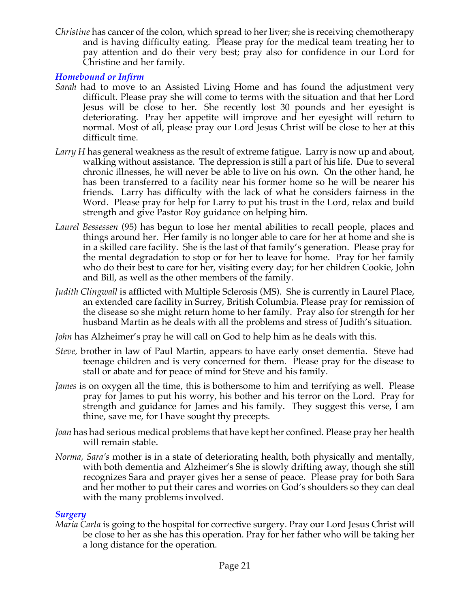*Christine* has cancer of the colon, which spread to her liver; she is receiving chemotherapy and is having difficulty eating. Please pray for the medical team treating her to pay attention and do their very best; pray also for confidence in our Lord for Christine and her family.

#### *Homebound or Infirm*

- *Sarah* had to move to an Assisted Living Home and has found the adjustment very difficult. Please pray she will come to terms with the situation and that her Lord Jesus will be close to her. She recently lost 30 pounds and her eyesight is deteriorating. Pray her appetite will improve and her eyesight will return to normal. Most of all, please pray our Lord Jesus Christ will be close to her at this difficult time.
- *Larry H* has general weakness as the result of extreme fatigue. Larry is now up and about, walking without assistance. The depression is still a part of his life. Due to several chronic illnesses, he will never be able to live on his own. On the other hand, he has been transferred to a facility near his former home so he will be nearer his friends. Larry has difficulty with the lack of what he considers fairness in the Word. Please pray for help for Larry to put his trust in the Lord, relax and build strength and give Pastor Roy guidance on helping him.
- *Laurel Bessessen* (95) has begun to lose her mental abilities to recall people, places and things around her. Her family is no longer able to care for her at home and she is in a skilled care facility. She is the last of that family's generation. Please pray for the mental degradation to stop or for her to leave for home. Pray for her family who do their best to care for her, visiting every day; for her children Cookie, John and Bill, as well as the other members of the family.
- *Judith Clingwall* is afflicted with Multiple Sclerosis (MS). She is currently in Laurel Place, an extended care facility in Surrey, British Columbia. Please pray for remission of the disease so she might return home to her family. Pray also for strength for her husband Martin as he deals with all the problems and stress of Judith's situation.
- *John* has Alzheimer's pray he will call on God to help him as he deals with this.
- *Steve,* brother in law of Paul Martin, appears to have early onset dementia. Steve had teenage children and is very concerned for them. Please pray for the disease to stall or abate and for peace of mind for Steve and his family.
- *James* is on oxygen all the time, this is bothersome to him and terrifying as well. Please pray for James to put his worry, his bother and his terror on the Lord. Pray for strength and guidance for James and his family. They suggest this verse, I am thine, save me, for I have sought thy precepts.
- *Joan* has had serious medical problems that have kept her confined. Please pray her health will remain stable.
- *Norma, Sara's* mother is in a state of deteriorating health, both physically and mentally, with both dementia and Alzheimer's She is slowly drifting away, though she still recognizes Sara and prayer gives her a sense of peace. Please pray for both Sara and her mother to put their cares and worries on God's shoulders so they can deal with the many problems involved.

## *Surgery*

*Maria Carla* is going to the hospital for corrective surgery. Pray our Lord Jesus Christ will be close to her as she has this operation. Pray for her father who will be taking her a long distance for the operation.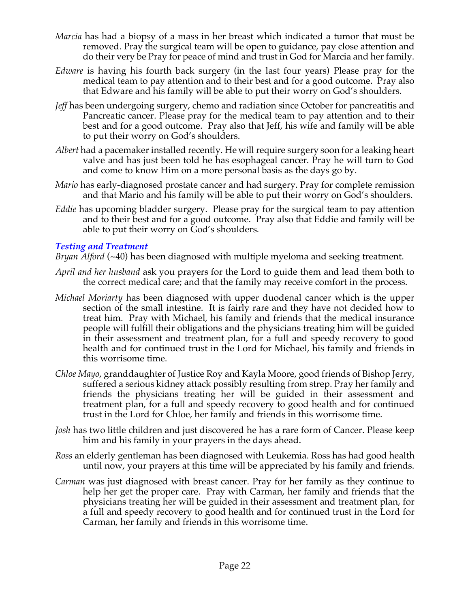- *Marcia* has had a biopsy of a mass in her breast which indicated a tumor that must be removed. Pray the surgical team will be open to guidance, pay close attention and do their very be Pray for peace of mind and trust in God for Marcia and her family.
- *Edware* is having his fourth back surgery (in the last four years) Please pray for the medical team to pay attention and to their best and for a good outcome. Pray also that Edware and his family will be able to put their worry on God's shoulders.
- Jeff has been undergoing surgery, chemo and radiation since October for pancreatitis and Pancreatic cancer. Please pray for the medical team to pay attention and to their best and for a good outcome. Pray also that Jeff, his wife and family will be able to put their worry on God's shoulders.
- *Albert* had a pacemaker installed recently. He will require surgery soon for a leaking heart valve and has just been told he has esophageal cancer. Pray he will turn to God and come to know Him on a more personal basis as the days go by.
- *Mario* has early-diagnosed prostate cancer and had surgery. Pray for complete remission and that Mario and his family will be able to put their worry on God's shoulders.
- *Eddie* has upcoming bladder surgery. Please pray for the surgical team to pay attention and to their best and for a good outcome. Pray also that Eddie and family will be able to put their worry on God's shoulders.

#### *Testing and Treatment*

*Bryan Alford* (~40) has been diagnosed with multiple myeloma and seeking treatment.

- *April and her husband* ask you prayers for the Lord to guide them and lead them both to the correct medical care; and that the family may receive comfort in the process.
- *Michael Moriarty* has been diagnosed with upper duodenal cancer which is the upper section of the small intestine. It is fairly rare and they have not decided how to treat him. Pray with Michael, his family and friends that the medical insurance people will fulfill their obligations and the physicians treating him will be guided in their assessment and treatment plan, for a full and speedy recovery to good health and for continued trust in the Lord for Michael, his family and friends in this worrisome time.
- *Chloe Mayo*, granddaughter of Justice Roy and Kayla Moore, good friends of Bishop Jerry, suffered a serious kidney attack possibly resulting from strep. Pray her family and friends the physicians treating her will be guided in their assessment and treatment plan, for a full and speedy recovery to good health and for continued trust in the Lord for Chloe, her family and friends in this worrisome time.
- *Josh* has two little children and just discovered he has a rare form of Cancer. Please keep him and his family in your prayers in the days ahead.
- *Ross* an elderly gentleman has been diagnosed with Leukemia. Ross has had good health until now, your prayers at this time will be appreciated by his family and friends.
- *Carman* was just diagnosed with breast cancer. Pray for her family as they continue to help her get the proper care. Pray with Carman, her family and friends that the physicians treating her will be guided in their assessment and treatment plan, for a full and speedy recovery to good health and for continued trust in the Lord for Carman, her family and friends in this worrisome time.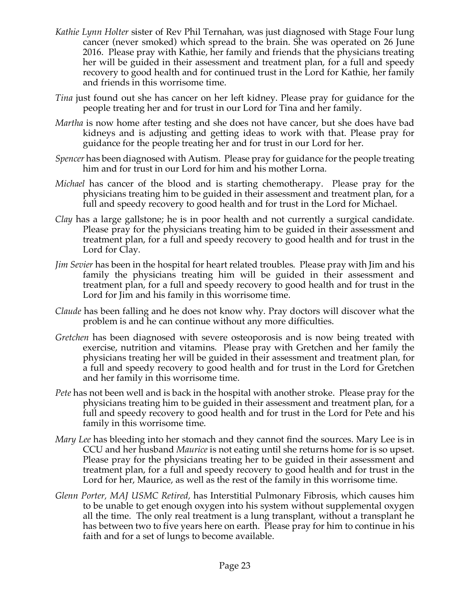- *Kathie Lynn Holter* sister of Rev Phil Ternahan, was just diagnosed with Stage Four lung cancer (never smoked) which spread to the brain. She was operated on 26 June 2016. Please pray with Kathie, her family and friends that the physicians treating her will be guided in their assessment and treatment plan, for a full and speedy recovery to good health and for continued trust in the Lord for Kathie, her family and friends in this worrisome time.
- *Tina* just found out she has cancer on her left kidney. Please pray for guidance for the people treating her and for trust in our Lord for Tina and her family.
- *Martha* is now home after testing and she does not have cancer, but she does have bad kidneys and is adjusting and getting ideas to work with that. Please pray for guidance for the people treating her and for trust in our Lord for her.
- *Spencer* has been diagnosed with Autism. Please pray for guidance for the people treating him and for trust in our Lord for him and his mother Lorna.
- *Michael* has cancer of the blood and is starting chemotherapy. Please pray for the physicians treating him to be guided in their assessment and treatment plan, for a full and speedy recovery to good health and for trust in the Lord for Michael.
- *Clay* has a large gallstone; he is in poor health and not currently a surgical candidate. Please pray for the physicians treating him to be guided in their assessment and treatment plan, for a full and speedy recovery to good health and for trust in the Lord for Clay.
- *Jim Sevier* has been in the hospital for heart related troubles. Please pray with Jim and his family the physicians treating him will be guided in their assessment and treatment plan, for a full and speedy recovery to good health and for trust in the Lord for Jim and his family in this worrisome time.
- *Claude* has been falling and he does not know why. Pray doctors will discover what the problem is and he can continue without any more difficulties.
- *Gretchen* has been diagnosed with severe osteoporosis and is now being treated with exercise, nutrition and vitamins. Please pray with Gretchen and her family the physicians treating her will be guided in their assessment and treatment plan, for a full and speedy recovery to good health and for trust in the Lord for Gretchen and her family in this worrisome time.
- *Pete* has not been well and is back in the hospital with another stroke. Please pray for the physicians treating him to be guided in their assessment and treatment plan, for a full and speedy recovery to good health and for trust in the Lord for Pete and his family in this worrisome time.
- *Mary Lee* has bleeding into her stomach and they cannot find the sources. Mary Lee is in CCU and her husband *Maurice* is not eating until she returns home for is so upset. Please pray for the physicians treating her to be guided in their assessment and treatment plan, for a full and speedy recovery to good health and for trust in the Lord for her, Maurice, as well as the rest of the family in this worrisome time.
- *Glenn Porter, MAJ USMC Retired,* has Interstitial Pulmonary Fibrosis, which causes him to be unable to get enough oxygen into his system without supplemental oxygen all the time. The only real treatment is a lung transplant, without a transplant he has between two to five years here on earth. Please pray for him to continue in his faith and for a set of lungs to become available.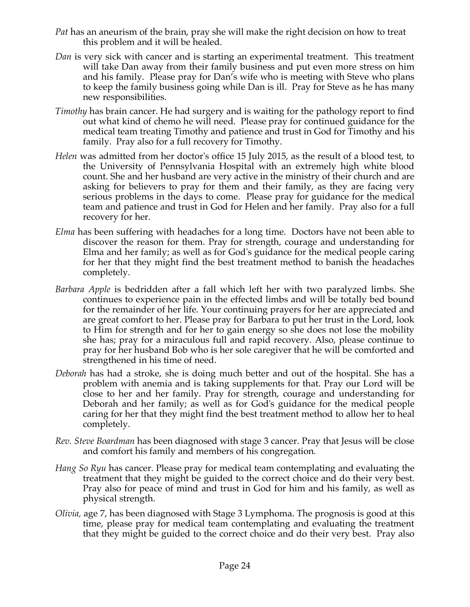- *Pat* has an aneurism of the brain, pray she will make the right decision on how to treat this problem and it will be healed.
- *Dan* is very sick with cancer and is starting an experimental treatment. This treatment will take Dan away from their family business and put even more stress on him and his family. Please pray for Dan's wife who is meeting with Steve who plans to keep the family business going while Dan is ill. Pray for Steve as he has many new responsibilities.
- *Timothy* has brain cancer. He had surgery and is waiting for the pathology report to find out what kind of chemo he will need. Please pray for continued guidance for the medical team treating Timothy and patience and trust in God for Timothy and his family. Pray also for a full recovery for Timothy.
- *Helen* was admitted from her doctor's office 15 July 2015, as the result of a blood test, to the University of Pennsylvania Hospital with an extremely high white blood count. She and her husband are very active in the ministry of their church and are asking for believers to pray for them and their family, as they are facing very serious problems in the days to come. Please pray for guidance for the medical team and patience and trust in God for Helen and her family. Pray also for a full recovery for her.
- *Elma* has been suffering with headaches for a long time. Doctors have not been able to discover the reason for them. Pray for strength, courage and understanding for Elma and her family; as well as for God's guidance for the medical people caring for her that they might find the best treatment method to banish the headaches completely.
- *Barbara Apple* is bedridden after a fall which left her with two paralyzed limbs. She continues to experience pain in the effected limbs and will be totally bed bound for the remainder of her life. Your continuing prayers for her are appreciated and are great comfort to her. Please pray for Barbara to put her trust in the Lord, look to Him for strength and for her to gain energy so she does not lose the mobility she has; pray for a miraculous full and rapid recovery. Also, please continue to pray for her husband Bob who is her sole caregiver that he will be comforted and strengthened in his time of need.
- *Deborah* has had a stroke, she is doing much better and out of the hospital. She has a problem with anemia and is taking supplements for that. Pray our Lord will be close to her and her family. Pray for strength, courage and understanding for Deborah and her family; as well as for God's guidance for the medical people caring for her that they might find the best treatment method to allow her to heal completely.
- *Rev. Steve Boardman* has been diagnosed with stage 3 cancer. Pray that Jesus will be close and comfort his family and members of his congregation*.*
- *Hang So Ryu* has cancer. Please pray for medical team contemplating and evaluating the treatment that they might be guided to the correct choice and do their very best. Pray also for peace of mind and trust in God for him and his family, as well as physical strength.
- *Olivia,* age 7, has been diagnosed with Stage 3 Lymphoma. The prognosis is good at this time, please pray for medical team contemplating and evaluating the treatment that they might be guided to the correct choice and do their very best. Pray also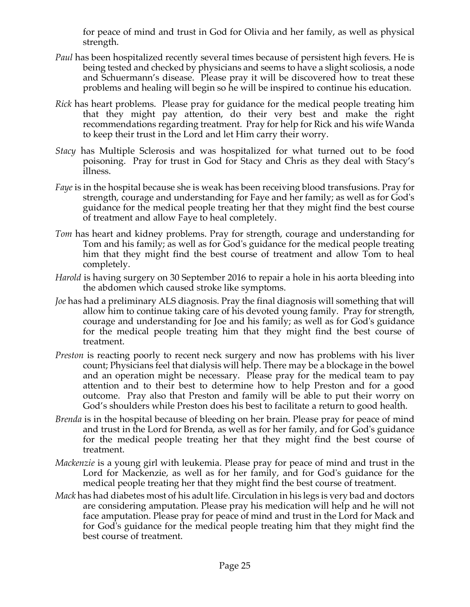for peace of mind and trust in God for Olivia and her family, as well as physical strength.

- *Paul* has been hospitalized recently several times because of persistent high fevers. He is being tested and checked by physicians and seems to have a slight scoliosis, a node and Schuermann's disease. Please pray it will be discovered how to treat these problems and healing will begin so he will be inspired to continue his education.
- *Rick* has heart problems. Please pray for guidance for the medical people treating him that they might pay attention, do their very best and make the right recommendations regarding treatment. Pray for help for Rick and his wife Wanda to keep their trust in the Lord and let Him carry their worry.
- *Stacy* has Multiple Sclerosis and was hospitalized for what turned out to be food poisoning. Pray for trust in God for Stacy and Chris as they deal with Stacy's illness.
- *Faye* is in the hospital because she is weak has been receiving blood transfusions. Pray for strength, courage and understanding for Faye and her family; as well as for God's guidance for the medical people treating her that they might find the best course of treatment and allow Faye to heal completely.
- *Tom* has heart and kidney problems. Pray for strength, courage and understanding for Tom and his family; as well as for God's guidance for the medical people treating him that they might find the best course of treatment and allow Tom to heal completely.
- *Harold* is having surgery on 30 September 2016 to repair a hole in his aorta bleeding into the abdomen which caused stroke like symptoms.
- *Joe* has had a preliminary ALS diagnosis. Pray the final diagnosis will something that will allow him to continue taking care of his devoted young family. Pray for strength, courage and understanding for Joe and his family; as well as for God's guidance for the medical people treating him that they might find the best course of treatment.
- *Preston* is reacting poorly to recent neck surgery and now has problems with his liver count; Physicians feel that dialysis will help. There may be a blockage in the bowel and an operation might be necessary. Please pray for the medical team to pay attention and to their best to determine how to help Preston and for a good outcome. Pray also that Preston and family will be able to put their worry on God's shoulders while Preston does his best to facilitate a return to good health.
- *Brenda* is in the hospital because of bleeding on her brain. Please pray for peace of mind and trust in the Lord for Brenda, as well as for her family, and for God's guidance for the medical people treating her that they might find the best course of treatment.
- *Mackenzie* is a young girl with leukemia. Please pray for peace of mind and trust in the Lord for Mackenzie, as well as for her family, and for God's guidance for the medical people treating her that they might find the best course of treatment.
- *Mack* has had diabetes most of his adult life. Circulation in his legs is very bad and doctors are considering amputation. Please pray his medication will help and he will not face amputation. Please pray for peace of mind and trust in the Lord for Mack and for God's guidance for the medical people treating him that they might find the best course of treatment.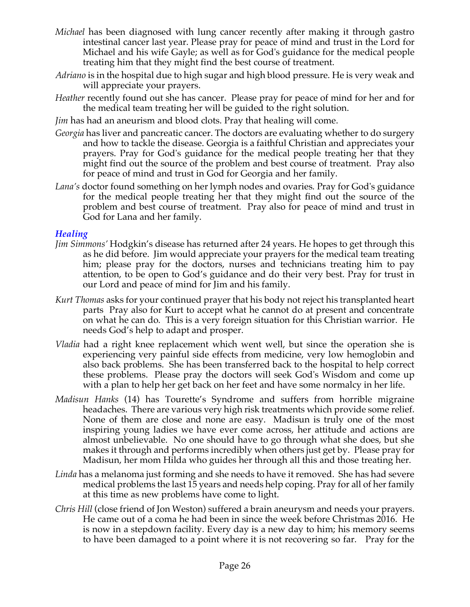- *Michael* has been diagnosed with lung cancer recently after making it through gastro intestinal cancer last year. Please pray for peace of mind and trust in the Lord for Michael and his wife Gayle; as well as for God's guidance for the medical people treating him that they might find the best course of treatment.
- *Adriano* is in the hospital due to high sugar and high blood pressure. He is very weak and will appreciate your prayers.
- *Heather* recently found out she has cancer. Please pray for peace of mind for her and for the medical team treating her will be guided to the right solution.
- *Jim* has had an aneurism and blood clots. Pray that healing will come.
- *Georgia* has liver and pancreatic cancer. The doctors are evaluating whether to do surgery and how to tackle the disease. Georgia is a faithful Christian and appreciates your prayers. Pray for God's guidance for the medical people treating her that they might find out the source of the problem and best course of treatment. Pray also for peace of mind and trust in God for Georgia and her family.
- *Lana's* doctor found something on her lymph nodes and ovaries. Pray for God's guidance for the medical people treating her that they might find out the source of the problem and best course of treatment. Pray also for peace of mind and trust in God for Lana and her family.

#### *Healing*

- *Jim Simmons'* Hodgkin's disease has returned after 24 years. He hopes to get through this as he did before. Jim would appreciate your prayers for the medical team treating him; please pray for the doctors, nurses and technicians treating him to pay attention, to be open to God's guidance and do their very best. Pray for trust in our Lord and peace of mind for Jim and his family.
- *Kurt Thomas* asks for your continued prayer that his body not reject his transplanted heart parts Pray also for Kurt to accept what he cannot do at present and concentrate on what he can do. This is a very foreign situation for this Christian warrior. He needs God's help to adapt and prosper.
- *Vladia* had a right knee replacement which went well, but since the operation she is experiencing very painful side effects from medicine, very low hemoglobin and also back problems. She has been transferred back to the hospital to help correct these problems. Please pray the doctors will seek God's Wisdom and come up with a plan to help her get back on her feet and have some normalcy in her life.
- *Madisun Hanks* (14) has Tourette's Syndrome and suffers from horrible migraine headaches. There are various very high risk treatments which provide some relief. None of them are close and none are easy. Madisun is truly one of the most inspiring young ladies we have ever come across, her attitude and actions are almost unbelievable. No one should have to go through what she does, but she makes it through and performs incredibly when others just get by. Please pray for Madisun, her mom Hilda who guides her through all this and those treating her.
- *Linda* has a melanoma just forming and she needs to have it removed. She has had severe medical problems the last 15 years and needs help coping. Pray for all of her family at this time as new problems have come to light.
- *Chris Hill* (close friend of Jon Weston) suffered a brain aneurysm and needs your prayers. He came out of a coma he had been in since the week before Christmas 2016. He is now in a stepdown facility. Every day is a new day to him; his memory seems to have been damaged to a point where it is not recovering so far. Pray for the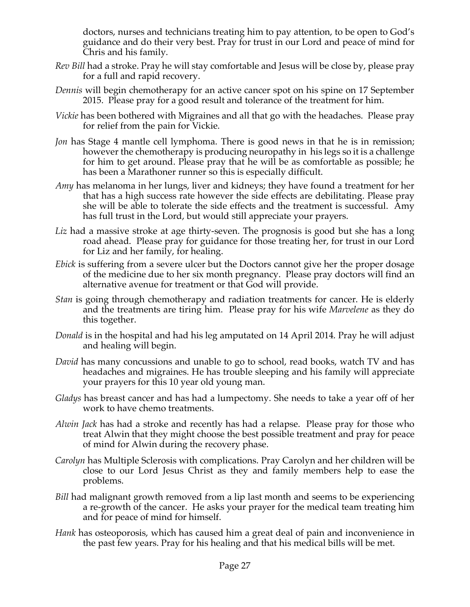doctors, nurses and technicians treating him to pay attention, to be open to God's guidance and do their very best. Pray for trust in our Lord and peace of mind for Chris and his family.

- *Rev Bill* had a stroke. Pray he will stay comfortable and Jesus will be close by, please pray for a full and rapid recovery.
- *Dennis* will begin chemotherapy for an active cancer spot on his spine on 17 September 2015. Please pray for a good result and tolerance of the treatment for him.
- *Vickie* has been bothered with Migraines and all that go with the headaches. Please pray for relief from the pain for Vickie.
- *Jon* has Stage 4 mantle cell lymphoma. There is good news in that he is in remission; however the chemotherapy is producing neuropathy in his legs so it is a challenge for him to get around. Please pray that he will be as comfortable as possible; he has been a Marathoner runner so this is especially difficult.
- *Amy* has melanoma in her lungs, liver and kidneys; they have found a treatment for her that has a high success rate however the side effects are debilitating. Please pray she will be able to tolerate the side effects and the treatment is successful. Amy has full trust in the Lord, but would still appreciate your prayers.
- *Liz* had a massive stroke at age thirty-seven. The prognosis is good but she has a long road ahead. Please pray for guidance for those treating her, for trust in our Lord for Liz and her family, for healing.
- *Ebick* is suffering from a severe ulcer but the Doctors cannot give her the proper dosage of the medicine due to her six month pregnancy. Please pray doctors will find an alternative avenue for treatment or that God will provide.
- *Stan* is going through chemotherapy and radiation treatments for cancer. He is elderly and the treatments are tiring him. Please pray for his wife *Marvelene* as they do this together.
- *Donald* is in the hospital and had his leg amputated on 14 April 2014. Pray he will adjust and healing will begin.
- *David* has many concussions and unable to go to school, read books, watch TV and has headaches and migraines. He has trouble sleeping and his family will appreciate your prayers for this 10 year old young man.
- *Gladys* has breast cancer and has had a lumpectomy. She needs to take a year off of her work to have chemo treatments.
- *Alwin Jack* has had a stroke and recently has had a relapse. Please pray for those who treat Alwin that they might choose the best possible treatment and pray for peace of mind for Alwin during the recovery phase.
- *Carolyn* has Multiple Sclerosis with complications. Pray Carolyn and her children will be close to our Lord Jesus Christ as they and family members help to ease the problems.
- *Bill* had malignant growth removed from a lip last month and seems to be experiencing a re-growth of the cancer. He asks your prayer for the medical team treating him and for peace of mind for himself.
- *Hank* has osteoporosis, which has caused him a great deal of pain and inconvenience in the past few years. Pray for his healing and that his medical bills will be met.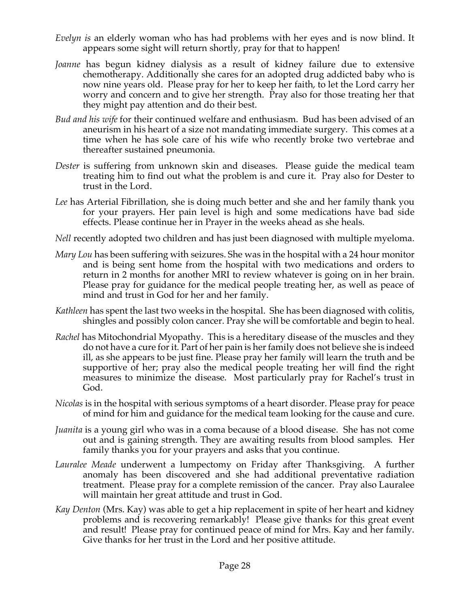- *Evelyn is* an elderly woman who has had problems with her eyes and is now blind. It appears some sight will return shortly, pray for that to happen!
- *Joanne* has begun kidney dialysis as a result of kidney failure due to extensive chemotherapy. Additionally she cares for an adopted drug addicted baby who is now nine years old. Please pray for her to keep her faith, to let the Lord carry her worry and concern and to give her strength. Pray also for those treating her that they might pay attention and do their best.
- *Bud and his wife* for their continued welfare and enthusiasm. Bud has been advised of an aneurism in his heart of a size not mandating immediate surgery. This comes at a time when he has sole care of his wife who recently broke two vertebrae and thereafter sustained pneumonia.
- *Dester* is suffering from unknown skin and diseases. Please guide the medical team treating him to find out what the problem is and cure it. Pray also for Dester to trust in the Lord.
- *Lee* has Arterial Fibrillation, she is doing much better and she and her family thank you for your prayers. Her pain level is high and some medications have bad side effects. Please continue her in Prayer in the weeks ahead as she heals.
- *Nell* recently adopted two children and has just been diagnosed with multiple myeloma.
- *Mary Lou* has been suffering with seizures. She was in the hospital with a 24 hour monitor and is being sent home from the hospital with two medications and orders to return in 2 months for another MRI to review whatever is going on in her brain. Please pray for guidance for the medical people treating her, as well as peace of mind and trust in God for her and her family.
- *Kathleen* has spent the last two weeks in the hospital. She has been diagnosed with colitis, shingles and possibly colon cancer. Pray she will be comfortable and begin to heal.
- *Rachel* has Mitochondrial Myopathy. This is a hereditary disease of the muscles and they do not have a cure for it. Part of her pain is her family does not believe she is indeed ill, as she appears to be just fine. Please pray her family will learn the truth and be supportive of her; pray also the medical people treating her will find the right measures to minimize the disease. Most particularly pray for Rachel's trust in God.
- *Nicolas* is in the hospital with serious symptoms of a heart disorder. Please pray for peace of mind for him and guidance for the medical team looking for the cause and cure.
- *Juanita* is a young girl who was in a coma because of a blood disease. She has not come out and is gaining strength. They are awaiting results from blood samples. Her family thanks you for your prayers and asks that you continue.
- *Lauralee Meade* underwent a lumpectomy on Friday after Thanksgiving. A further anomaly has been discovered and she had additional preventative radiation treatment. Please pray for a complete remission of the cancer. Pray also Lauralee will maintain her great attitude and trust in God.
- *Kay Denton* (Mrs. Kay) was able to get a hip replacement in spite of her heart and kidney problems and is recovering remarkably! Please give thanks for this great event and result! Please pray for continued peace of mind for Mrs. Kay and her family. Give thanks for her trust in the Lord and her positive attitude.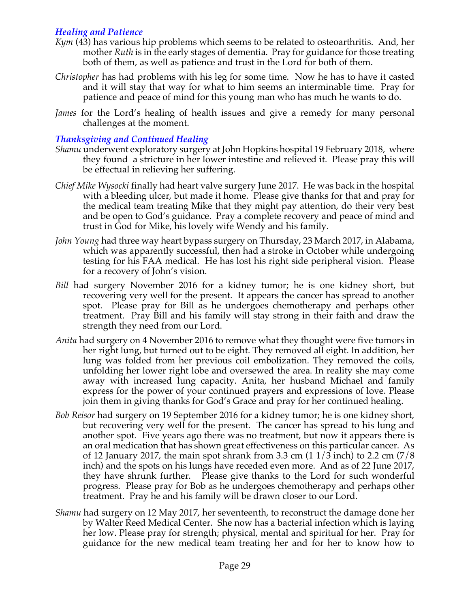## *Healing and Patience*

- *Kym* (43) has various hip problems which seems to be related to osteoarthritis. And, her mother *Ruth* is in the early stages of dementia. Pray for guidance for those treating both of them, as well as patience and trust in the Lord for both of them.
- *Christopher* has had problems with his leg for some time. Now he has to have it casted and it will stay that way for what to him seems an interminable time. Pray for patience and peace of mind for this young man who has much he wants to do.
- *James* for the Lord's healing of health issues and give a remedy for many personal challenges at the moment.

## *Thanksgiving and Continued Healing*

- *Shamu* underwent exploratory surgery at John Hopkins hospital 19 February 2018, where they found a stricture in her lower intestine and relieved it. Please pray this will be effectual in relieving her suffering.
- *Chief Mike Wysocki* finally had heart valve surgery June 2017. He was back in the hospital with a bleeding ulcer, but made it home. Please give thanks for that and pray for the medical team treating Mike that they might pay attention, do their very best and be open to God's guidance. Pray a complete recovery and peace of mind and trust in God for Mike, his lovely wife Wendy and his family.
- *John Young* had three way heart bypass surgery on Thursday, 23 March 2017, in Alabama, which was apparently successful, then had a stroke in October while undergoing testing for his FAA medical. He has lost his right side peripheral vision. Please for a recovery of John's vision.
- *Bill* had surgery November 2016 for a kidney tumor; he is one kidney short, but recovering very well for the present. It appears the cancer has spread to another spot. Please pray for Bill as he undergoes chemotherapy and perhaps other treatment. Pray Bill and his family will stay strong in their faith and draw the strength they need from our Lord.
- *Anita* had surgery on 4 November 2016 to remove what they thought were five tumors in her right lung, but turned out to be eight. They removed all eight. In addition, her lung was folded from her previous coil embolization. They removed the coils, unfolding her lower right lobe and oversewed the area. In reality she may come away with increased lung capacity. Anita, her husband Michael and family express for the power of your continued prayers and expressions of love. Please join them in giving thanks for God's Grace and pray for her continued healing.
- *Bob Reisor* had surgery on 19 September 2016 for a kidney tumor; he is one kidney short, but recovering very well for the present. The cancer has spread to his lung and another spot. Five years ago there was no treatment, but now it appears there is an oral medication that has shown great effectiveness on this particular cancer. As of 12 January 2017, the main spot shrank from 3.3 cm  $(11/3 \text{ inch})$  to 2.2 cm  $(7/8 \text{ ft})$ inch) and the spots on his lungs have receded even more. And as of 22 June 2017, they have shrunk further. Please give thanks to the Lord for such wonderful progress. Please pray for Bob as he undergoes chemotherapy and perhaps other treatment. Pray he and his family will be drawn closer to our Lord.
- *Shamu* had surgery on 12 May 2017, her seventeenth, to reconstruct the damage done her by Walter Reed Medical Center. She now has a bacterial infection which is laying her low. Please pray for strength; physical, mental and spiritual for her. Pray for guidance for the new medical team treating her and for her to know how to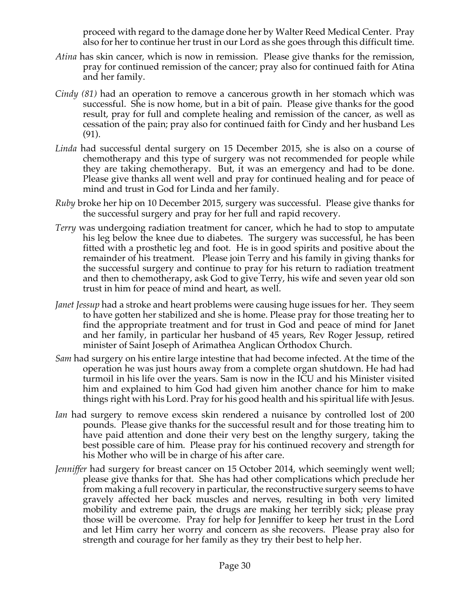proceed with regard to the damage done her by Walter Reed Medical Center. Pray also for her to continue her trust in our Lord as she goes through this difficult time.

- *Atina* has skin cancer, which is now in remission. Please give thanks for the remission, pray for continued remission of the cancer; pray also for continued faith for Atina and her family.
- *Cindy (81)* had an operation to remove a cancerous growth in her stomach which was successful. She is now home, but in a bit of pain. Please give thanks for the good result, pray for full and complete healing and remission of the cancer, as well as cessation of the pain; pray also for continued faith for Cindy and her husband Les (91).
- *Linda* had successful dental surgery on 15 December 2015, she is also on a course of chemotherapy and this type of surgery was not recommended for people while they are taking chemotherapy. But, it was an emergency and had to be done. Please give thanks all went well and pray for continued healing and for peace of mind and trust in God for Linda and her family.
- *Ruby* broke her hip on 10 December 2015, surgery was successful. Please give thanks for the successful surgery and pray for her full and rapid recovery.
- *Terry* was undergoing radiation treatment for cancer, which he had to stop to amputate his leg below the knee due to diabetes. The surgery was successful, he has been fitted with a prosthetic leg and foot. He is in good spirits and positive about the remainder of his treatment. Please join Terry and his family in giving thanks for the successful surgery and continue to pray for his return to radiation treatment and then to chemotherapy, ask God to give Terry, his wife and seven year old son trust in him for peace of mind and heart, as well.
- *Janet Jessup* had a stroke and heart problems were causing huge issues for her. They seem to have gotten her stabilized and she is home. Please pray for those treating her to find the appropriate treatment and for trust in God and peace of mind for Janet and her family, in particular her husband of 45 years, Rev Roger Jessup, retired minister of Saint Joseph of Arimathea Anglican Orthodox Church.
- *Sam* had surgery on his entire large intestine that had become infected. At the time of the operation he was just hours away from a complete organ shutdown. He had had turmoil in his life over the years. Sam is now in the ICU and his Minister visited him and explained to him God had given him another chance for him to make things right with his Lord. Pray for his good health and his spiritual life with Jesus.
- *Ian* had surgery to remove excess skin rendered a nuisance by controlled lost of 200 pounds. Please give thanks for the successful result and for those treating him to have paid attention and done their very best on the lengthy surgery, taking the best possible care of him. Please pray for his continued recovery and strength for his Mother who will be in charge of his after care.
- *Jenniffer* had surgery for breast cancer on 15 October 2014, which seemingly went well; please give thanks for that. She has had other complications which preclude her from making a full recovery in particular, the reconstructive surgery seems to have gravely affected her back muscles and nerves, resulting in both very limited mobility and extreme pain, the drugs are making her terribly sick; please pray those will be overcome. Pray for help for Jenniffer to keep her trust in the Lord and let Him carry her worry and concern as she recovers. Please pray also for strength and courage for her family as they try their best to help her.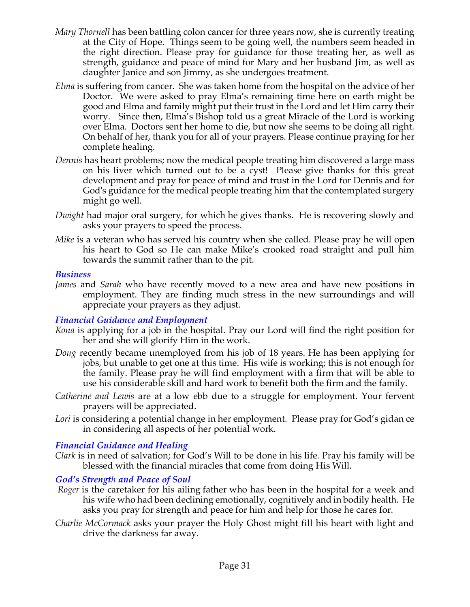- *Mary Thornell* has been battling colon cancer for three years now, she is currently treating at the City of Hope. Things seem to be going well, the numbers seem headed in the right direction. Please pray for guidance for those treating her, as well as strength, guidance and peace of mind for Mary and her husband Jim, as well as daughter Janice and son Jimmy, as she undergoes treatment.
- *Elma* is suffering from cancer. She was taken home from the hospital on the advice of her Doctor. We were asked to pray Elma's remaining time here on earth might be good and Elma and family might put their trust in the Lord and let Him carry their worry. Since then, Elma's Bishop told us a great Miracle of the Lord is working over Elma. Doctors sent her home to die, but now she seems to be doing all right. On behalf of her, thank you for all of your prayers. Please continue praying for her complete healing.
- *Dennis* has heart problems; now the medical people treating him discovered a large mass on his liver which turned out to be a cyst! Please give thanks for this great development and pray for peace of mind and trust in the Lord for Dennis and for God's guidance for the medical people treating him that the contemplated surgery might go well.
- *Dwight* had major oral surgery, for which he gives thanks. He is recovering slowly and asks your prayers to speed the process.
- *Mike* is a veteran who has served his country when she called. Please pray he will open his heart to God so He can make Mike's crooked road straight and pull him towards the summit rather than to the pit.

#### *Business*

*James* and *Sarah* who have recently moved to a new area and have new positions in employment. They are finding much stress in the new surroundings and will appreciate your prayers as they adjust.

## *Financial Guidance and Employment*

- *Kona* is applying for a job in the hospital. Pray our Lord will find the right position for her and she will glorify Him in the work.
- *Doug* recently became unemployed from his job of 18 years. He has been applying for jobs, but unable to get one at this time. His wife is working; this is not enough for the family. Please pray he will find employment with a firm that will be able to use his considerable skill and hard work to benefit both the firm and the family.
- *Catherine and Lewis* are at a low ebb due to a struggle for employment. Your fervent prayers will be appreciated.
- Lori is considering a potential change in her employment. Please pray for God's gidan ce in considering all aspects of her potential work.

## *Financial Guidance and Healing*

*Clark* is in need of salvation; for God's Will to be done in his life. Pray his family will be blessed with the financial miracles that come from doing His Will.

## *God's Strength and Peace of Soul*

- *Roger* is the caretaker for his ailing father who has been in the hospital for a week and his wife who had been declining emotionally, cognitively and in bodily health. He asks you pray for strength and peace for him and help for those he cares for.
- *Charlie McCormack* asks your prayer the Holy Ghost might fill his heart with light and drive the darkness far away.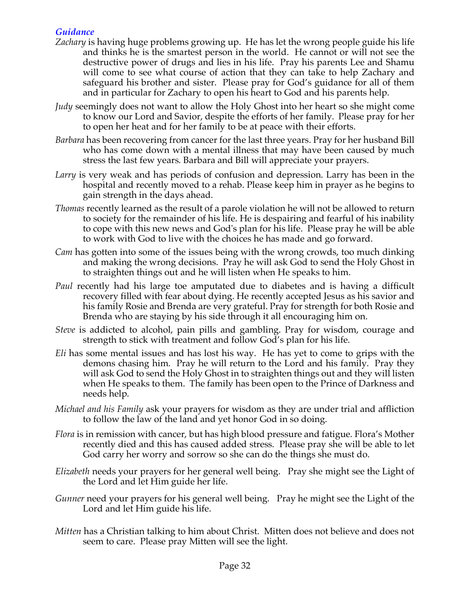## *Guidance*

- *Zachary* is having huge problems growing up. He has let the wrong people guide his life and thinks he is the smartest person in the world. He cannot or will not see the destructive power of drugs and lies in his life. Pray his parents Lee and Shamu will come to see what course of action that they can take to help Zachary and safeguard his brother and sister. Please pray for God's guidance for all of them and in particular for Zachary to open his heart to God and his parents help.
- *Judy* seemingly does not want to allow the Holy Ghost into her heart so she might come to know our Lord and Savior, despite the efforts of her family. Please pray for her to open her heat and for her family to be at peace with their efforts.
- *Barbara* has been recovering from cancer for the last three years. Pray for her husband Bill who has come down with a mental illness that may have been caused by much stress the last few years. Barbara and Bill will appreciate your prayers.
- *Larry* is very weak and has periods of confusion and depression. Larry has been in the hospital and recently moved to a rehab. Please keep him in prayer as he begins to gain strength in the days ahead.
- *Thomas* recently learned as the result of a parole violation he will not be allowed to return to society for the remainder of his life. He is despairing and fearful of his inability to cope with this new news and God's plan for his life. Please pray he will be able to work with God to live with the choices he has made and go forward.
- *Cam* has gotten into some of the issues being with the wrong crowds, too much dinking and making the wrong decisions. Pray he will ask God to send the Holy Ghost in to straighten things out and he will listen when He speaks to him.
- *Paul* recently had his large toe amputated due to diabetes and is having a difficult recovery filled with fear about dying. He recently accepted Jesus as his savior and his family Rosie and Brenda are very grateful. Pray for strength for both Rosie and Brenda who are staying by his side through it all encouraging him on.
- *Steve* is addicted to alcohol, pain pills and gambling. Pray for wisdom, courage and strength to stick with treatment and follow God's plan for his life.
- *Eli* has some mental issues and has lost his way. He has yet to come to grips with the demons chasing him. Pray he will return to the Lord and his family. Pray they will ask God to send the Holy Ghost in to straighten things out and they will listen when He speaks to them. The family has been open to the Prince of Darkness and needs help.
- *Michael and his Family* ask your prayers for wisdom as they are under trial and affliction to follow the law of the land and yet honor God in so doing.
- *Flora* is in remission with cancer, but has high blood pressure and fatigue. Flora's Mother recently died and this has caused added stress. Please pray she will be able to let God carry her worry and sorrow so she can do the things she must do.
- *Elizabeth* needs your prayers for her general well being. Pray she might see the Light of the Lord and let Him guide her life.
- *Gunner* need your prayers for his general well being. Pray he might see the Light of the Lord and let Him guide his life.
- *Mitten* has a Christian talking to him about Christ. Mitten does not believe and does not seem to care. Please pray Mitten will see the light.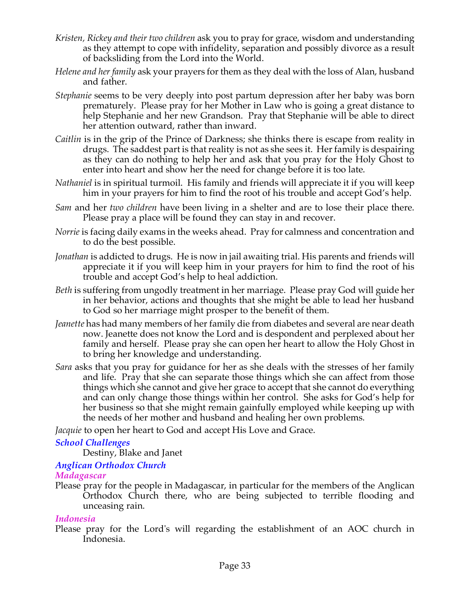- *Kristen, Rickey and their two children* ask you to pray for grace, wisdom and understanding as they attempt to cope with infidelity, separation and possibly divorce as a result of backsliding from the Lord into the World.
- *Helene and her family* ask your prayers for them as they deal with the loss of Alan, husband and father.
- *Stephanie* seems to be very deeply into post partum depression after her baby was born prematurely. Please pray for her Mother in Law who is going a great distance to help Stephanie and her new Grandson. Pray that Stephanie will be able to direct her attention outward, rather than inward.
- *Caitlin* is in the grip of the Prince of Darkness; she thinks there is escape from reality in drugs. The saddest part is that reality is not as she sees it. Her family is despairing as they can do nothing to help her and ask that you pray for the Holy Ghost to enter into heart and show her the need for change before it is too late.
- *Nathaniel* is in spiritual turmoil. His family and friends will appreciate it if you will keep him in your prayers for him to find the root of his trouble and accept God's help.
- *Sam* and her *two children* have been living in a shelter and are to lose their place there. Please pray a place will be found they can stay in and recover.
- *Norrie* is facing daily exams in the weeks ahead. Pray for calmness and concentration and to do the best possible.
- *Jonathan* is addicted to drugs. He is now in jail awaiting trial. His parents and friends will appreciate it if you will keep him in your prayers for him to find the root of his trouble and accept God's help to heal addiction.
- *Beth* is suffering from ungodly treatment in her marriage. Please pray God will guide her in her behavior, actions and thoughts that she might be able to lead her husband to God so her marriage might prosper to the benefit of them.
- *Jeanette* has had many members of her family die from diabetes and several are near death now. Jeanette does not know the Lord and is despondent and perplexed about her family and herself. Please pray she can open her heart to allow the Holy Ghost in to bring her knowledge and understanding.
- *Sara* asks that you pray for guidance for her as she deals with the stresses of her family and life. Pray that she can separate those things which she can affect from those things which she cannot and give her grace to accept that she cannot do everything and can only change those things within her control. She asks for God's help for her business so that she might remain gainfully employed while keeping up with the needs of her mother and husband and healing her own problems.

*Jacquie* to open her heart to God and accept His Love and Grace.

## *School Challenges*

Destiny, Blake and Janet

# *Anglican Orthodox Church*

## *Madagascar*

Please pray for the people in Madagascar, in particular for the members of the Anglican Orthodox Church there, who are being subjected to terrible flooding and unceasing rain.

## *Indonesia*

Please pray for the Lord's will regarding the establishment of an AOC church in Indonesia.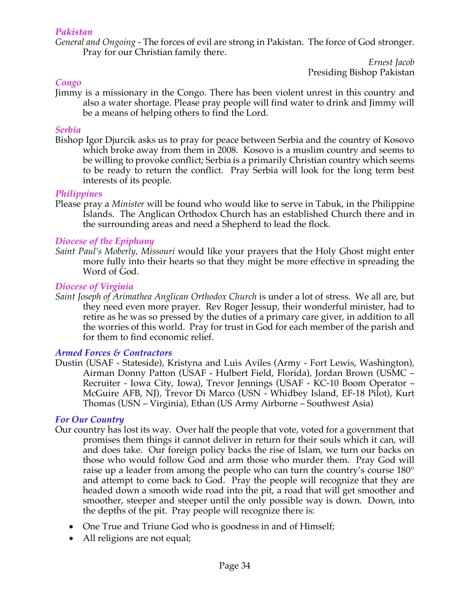#### *Pakistan*

*General and Ongoing -* The forces of evil are strong in Pakistan. The force of God stronger. Pray for our Christian family there.

> *Ernest Jacob* Presiding Bishop Pakistan

#### *Congo*

Jimmy is a missionary in the Congo. There has been violent unrest in this country and also a water shortage. Please pray people will find water to drink and Jimmy will be a means of helping others to find the Lord.

#### *Serbia*

Bishop Igor Djurcik asks us to pray for peace between Serbia and the country of Kosovo which broke away from them in 2008. Kosovo is a muslim country and seems to be willing to provoke conflict; Serbia is a primarily Christian country which seems to be ready to return the conflict. Pray Serbia will look for the long term best interests of its people.

#### *Philippines*

Please pray a *Minister* will be found who would like to serve in Tabuk, in the Philippine Islands. The Anglican Orthodox Church has an established Church there and in the surrounding areas and need a Shepherd to lead the flock*.*

#### *Diocese of the Epiphany*

*Saint Paul's Moberly, Missouri* would like your prayers that the Holy Ghost might enter more fully into their hearts so that they might be more effective in spreading the Word of God.

#### *Diocese of Virginia*

*Saint Joseph of Arimathea Anglican Orthodox Church* is under a lot of stress. We all are, but they need even more prayer. Rev Roger Jessup, their wonderful minister, had to retire as he was so pressed by the duties of a primary care giver, in addition to all the worries of this world. Pray for trust in God for each member of the parish and for them to find economic relief.

#### *Armed Forces & Contractors*

Dustin (USAF - Stateside), Kristyna and Luis Aviles (Army - Fort Lewis, Washington), Airman Donny Patton (USAF - Hulbert Field, Florida), Jordan Brown (USMC – Recruiter - Iowa City, Iowa), Trevor Jennings (USAF - KC-10 Boom Operator – McGuire AFB, NJ), Trevor Di Marco (USN - Whidbey Island, EF-18 Pilot), Kurt Thomas (USN – Virginia), Ethan (US Army Airborne – Southwest Asia)

#### *For Our Country*

- Our country has lost its way. Over half the people that vote, voted for a government that promises them things it cannot deliver in return for their souls which it can, will and does take. Our foreign policy backs the rise of Islam, we turn our backs on those who would follow God and arm those who murder them. Pray God will raise up a leader from among the people who can turn the country's course 180° and attempt to come back to God. Pray the people will recognize that they are headed down a smooth wide road into the pit, a road that will get smoother and smoother, steeper and steeper until the only possible way is down. Down, into the depths of the pit. Pray people will recognize there is:
	- One True and Triune God who is goodness in and of Himself;
	- All religions are not equal;